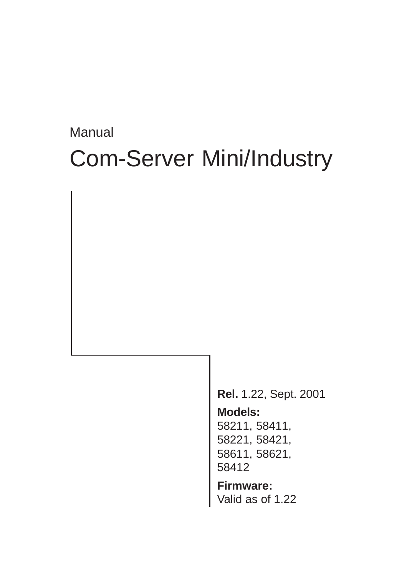# **Manual** Com-Server Mini/Industry

**Rel.** 1.22, Sept. 2001 **Models:** 58211, 58411, 58221, 58421, 58611, 58621, 58412

**Firmware:** Valid as of 1.22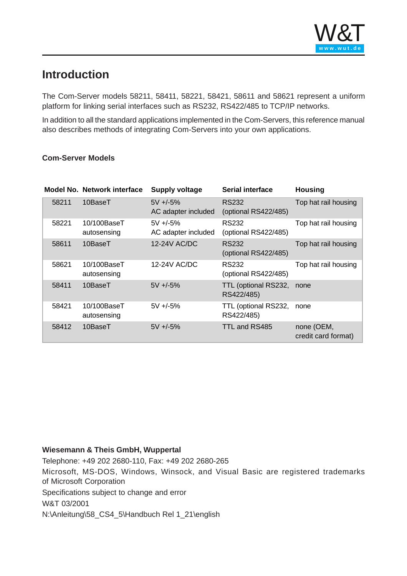# <span id="page-1-0"></span>**Introduction**

The Com-Server models 58211, 58411, 58221, 58421, 58611 and 58621 represent a uniform platform for linking serial interfaces such as RS232, RS422/485 to TCP/IP networks.

In addition to all the standard applications implemented in the Com-Servers, this reference manual also describes methods of integrating Com-Servers into your own applications.

#### **Com-Server Models**

|       | <b>Model No. Network interface</b> | <b>Supply voltage</b>               | <b>Serial interface</b>              | <b>Housing</b>                    |
|-------|------------------------------------|-------------------------------------|--------------------------------------|-----------------------------------|
| 58211 | 10BaseT                            | $5V + (-5%)$<br>AC adapter included | <b>RS232</b><br>(optional RS422/485) | Top hat rail housing              |
| 58221 | 10/100BaseT<br>autosensing         | $5V + 5%$<br>AC adapter included    | <b>RS232</b><br>(optional RS422/485) | Top hat rail housing              |
| 58611 | 10BaseT                            | 12-24V AC/DC                        | <b>RS232</b><br>(optional RS422/485) | Top hat rail housing              |
| 58621 | 10/100BaseT<br>autosensing         | 12-24V AC/DC                        | RS232<br>(optional RS422/485)        | Top hat rail housing              |
| 58411 | 10BaseT                            | $5V + 5%$                           | TTL (optional RS232,<br>RS422/485)   | none                              |
| 58421 | 10/100BaseT<br>autosensing         | $5V + (-5%)$                        | TTL (optional RS232,<br>RS422/485)   | none                              |
| 58412 | 10BaseT                            | $5V + 5%$                           | TTL and RS485                        | none (OEM,<br>credit card format) |

#### **Wiesemann & Theis GmbH, Wuppertal**

Telephone: +49 202 2680-110, Fax: +49 202 2680-265

Microsoft, MS-DOS, Windows, Winsock, and Visual Basic are registered trademarks of Microsoft Corporation

Specifications subject to change and error

W&T 03/2001

N:\Anleitung\58\_CS4\_5\Handbuch Rel 1\_21\english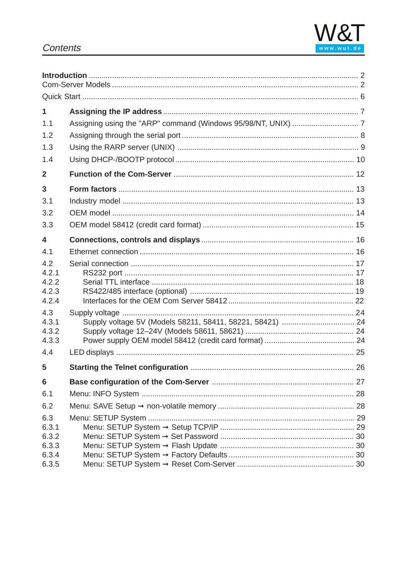

# Contents

| $\mathbf{1}$<br>1.1                              |  |
|--------------------------------------------------|--|
| 1.2<br>1.3                                       |  |
| 1.4                                              |  |
| $\mathbf{2}$                                     |  |
| 3<br>3.1<br>3.2<br>3.3                           |  |
| $\overline{\mathbf{4}}$                          |  |
| 4.1                                              |  |
| 4.2<br>4.2.1<br>4.2.2<br>4.2.3<br>4.2.4          |  |
| 4.3<br>4.3.1<br>4.3.2<br>4.3.3                   |  |
| 4.4                                              |  |
| 5                                                |  |
| $6\phantom{1}$<br>6.1                            |  |
| 6.2                                              |  |
| 6.3<br>6.3.1<br>6.3.2<br>6.3.3<br>6.3.4<br>6.3.5 |  |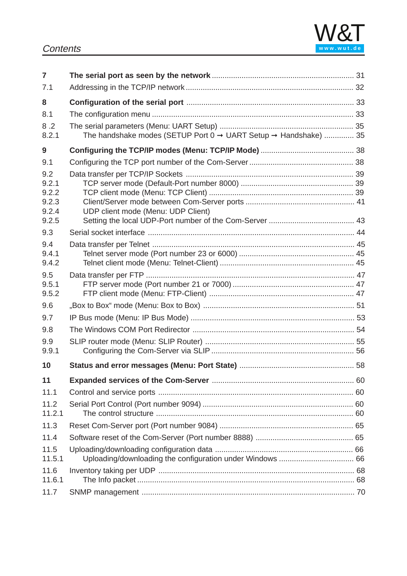

| 7                                                |                                                                 |  |
|--------------------------------------------------|-----------------------------------------------------------------|--|
| 7.1                                              |                                                                 |  |
| 8                                                |                                                                 |  |
| 8.1                                              |                                                                 |  |
| 8.2<br>8.2.1                                     | The handshake modes (SETUP Port 0 → UART Setup → Handshake)  35 |  |
| 9                                                |                                                                 |  |
| 9.1                                              |                                                                 |  |
| 9.2<br>9.2.1<br>9.2.2<br>9.2.3<br>9.2.4<br>9.2.5 | UDP client mode (Menu: UDP Client)                              |  |
| 9.3                                              |                                                                 |  |
| 9.4                                              |                                                                 |  |
| 9.4.1<br>9.4.2                                   |                                                                 |  |
| 9.5<br>9.5.1<br>9.5.2                            |                                                                 |  |
| 9.6                                              |                                                                 |  |
| 9.7                                              |                                                                 |  |
| 9.8                                              |                                                                 |  |
| 9.9<br>9.9.1                                     |                                                                 |  |
| 10                                               |                                                                 |  |
| 11                                               |                                                                 |  |
| 11.1                                             |                                                                 |  |
| 11.2<br>11.2.1                                   |                                                                 |  |
| 11.3                                             |                                                                 |  |
| 11.4                                             |                                                                 |  |
| 11.5<br>11.5.1                                   |                                                                 |  |
| 11.6<br>11.6.1                                   |                                                                 |  |
| 11.7                                             |                                                                 |  |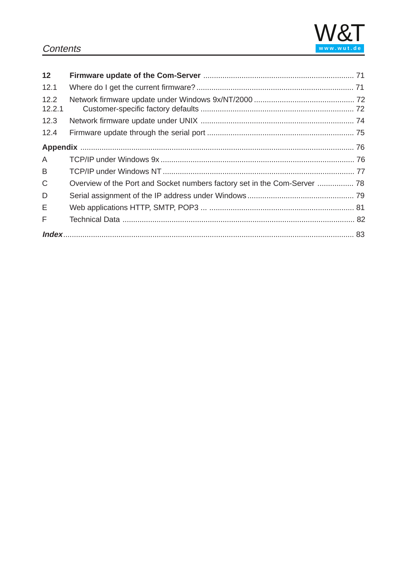## **Contents**



| 12             |  |
|----------------|--|
| 12.1           |  |
| 12.2<br>12.2.1 |  |
| 12.3           |  |
| 12.4           |  |
|                |  |
| A              |  |
| B              |  |
| C              |  |
| D              |  |
| Е              |  |
| F              |  |
|                |  |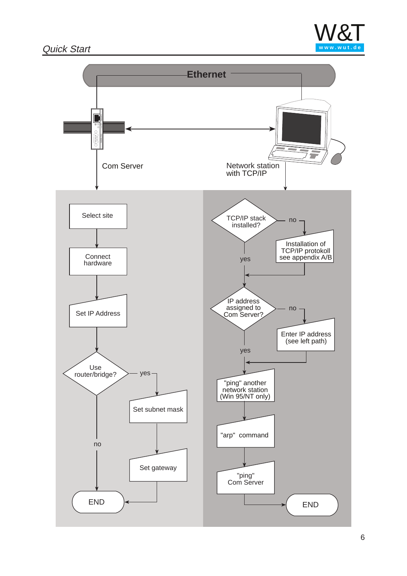# <span id="page-5-0"></span>Quick Start **www.wut.de**



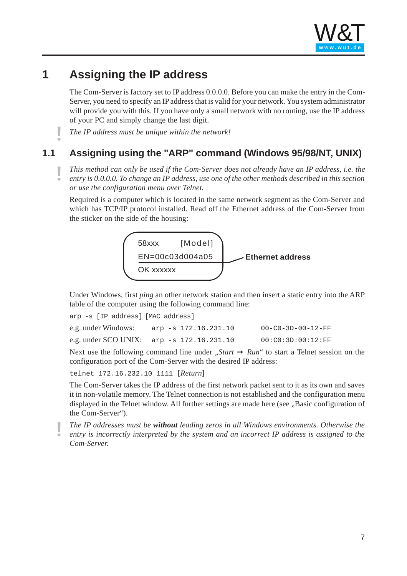

# <span id="page-6-0"></span>**1 Assigning the IP address**

The Com-Server is factory set to IP address 0.0.0.0. Before you can make the entry in the Com-Server, you need to specify an IP address that is valid for your network. You system administrator will provide you with this. If you have only a small network with no routing, use the IP address of your PC and simply change the last digit.

**!** *The IP address must be unique within the network!*

# **1.1 Assigning using the "ARP" command (Windows 95/98/NT, UNIX)**

**!** *This method can only be used if the Com-Server does not already have an IP address, i.e. the entry is 0.0.0.0. To change an IP address, use one of the other methods described in this section or use the configuration menu over Telnet.*

Required is a computer which is located in the [same network](http://www.wut.de) segment as the Com-Server and which has TCP/IP protocol installed. Read off the Ethernet address of the Com-Server from the sticker on the side of the housing:



Under Windows, first *ping* an other network station and then insert a static entry into the ARP table of the computer using the following command line:

| arp -s [IP address] [MAC address] |                                                    |                               |
|-----------------------------------|----------------------------------------------------|-------------------------------|
|                                   | e.g. under Windows: $_{\rm app -s 172.16.231.10}$  | $00 - C0 - 3D - 00 - 12 - FF$ |
|                                   | e.g. under SCO UNIX: $_{\rm app}$ -s 172.16.231.10 | 00:CO:3D:00:12:FF             |

Next use the following command line under  $, Start \rightarrow Run$  to start a Telnet session on the configuration port of the Com-Server with the desired IP address:

telnet 172.16.232.10 1111 [*Return*]

The Com-Server takes the IP address of the first network packet sent to it as its own and saves it in non-volatile memory. The Telnet connection is not established and the configuration menu displayed in the Telnet window. All further settings are made here (see ...Basic configuration of the Com-Server").

**!** *The IP addresses must be without leading zeros in all Windows environments. Otherwise the entry is incorrectly interpreted by the system and an incorrect IP address is assigned to the Com-Server.*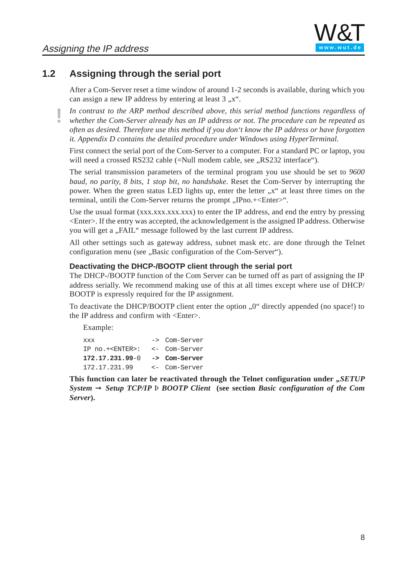# <span id="page-7-0"></span>**1.2 Assigning through the serial port**

After a Com-Server reset a time window of around 1-2 seconds is available, during which you can assign a new IP address by entering at least  $3, x^{\prime\prime}$ .

**!** *In contrast to the ARP method described above, this serial method functions regardless of whether the Com-Server already has an IP address or not. The procedure can be repeated as often as desired. Therefore use this method if you don't know the IP address or have forgotten it. Appendix D contains the detailed procedure under Windows using HyperTerminal.*

First connect the serial port of the Com-Server to a computer. For a standard PC or laptop, you will need a crossed RS232 cable (=Null modem cable, see "RS232 interface").

The serial transmission parameters of the terminal program you use should be set to *9600 baud, no parity, 8 bits, 1 stop bit, no handshake*. Reset the Com-Server by interrupting the power. When the green status LED lights up, [enter the lette](http://www.wut.de)r "x" at least three times on the terminal, untili the Com-Server returns the prompt "IPno.+<Enter>".

Use the usual format  $(xxxxxxxxxxx)$  to enter the IP address, and end the entry by pressing <Enter>. If the entry was accepted, the acknowledgement is the assigned IP address. Otherwise you will get a "FAIL" message followed by the last current IP address.

All other settings such as gateway address, subnet mask etc. are done through the Telnet configuration menu (see "Basic configuration of the Com-Server").

#### **Deactivating the DHCP-/BOOTP client through the serial port**

The DHCP-/BOOTP function of the Com Server can be turned off as part of assigning the IP address serially. We recommend making use of this at all times except where use of DHCP/ BOOTP is expressly required for the IP assignment.

To deactivate the DHCP/BOOTP client enter the option "0" directly appended (no space!) to the IP address and confirm with <Enter>.

Example:

| XXX                      | -> Com-Server |
|--------------------------|---------------|
| IP no.+ <enter>:</enter> | <- Com-Server |
| $172.17.231.99 - 0$      | -> Com-Server |
| 172.17.231.99            | <- Com-Server |

**This function can later be reactivated through the Telnet configuration under ,** *SETUP System* ➞ *Setup TCP/IP* Þ *BOOTP Client* **(see section** *Basic configuration of the Com Server***).**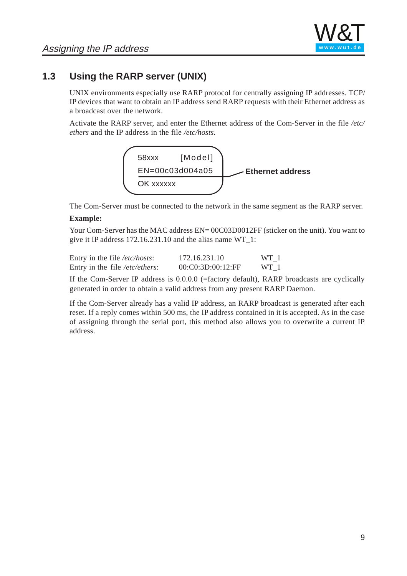

# <span id="page-8-0"></span>**1.3 Using the RARP server (UNIX)**

UNIX environments especially use RARP protocol for centrally assigning IP addresses. TCP/ IP devices that want to obtain an IP address send RARP requests with their Ethernet address as a broadcast over the network.

Activate the RARP server, and enter the Ethernet address of the Com-Server in the file */etc/ ethers* and the IP address in the file */etc/hosts*.



The Com-Server must be connected to the net[work in the sam](http://www.wut.de)e segment as the RARP server.

#### **Example:**

Your Com-Server has the MAC address EN= 00C03D0012FF (sticker on the unit). You want to give it IP address 172.16.231.10 and the alias name WT\_1:

| Entry in the file /etc/hosts:  | 172.16.231.10     | WT 1 |
|--------------------------------|-------------------|------|
| Entry in the file /etc/ethers: | 00:C0:3D:00:12:FF | WT 1 |

If the Com-Server IP address is 0.0.0.0 (=factory default), RARP broadcasts are cyclically generated in order to obtain a valid address from any present RARP Daemon.

If the Com-Server already has a valid IP address, an RARP broadcast is generated after each reset. If a reply comes within 500 ms, the IP address contained in it is accepted. As in the case of assigning through the serial port, this method also allows you to overwrite a current IP address.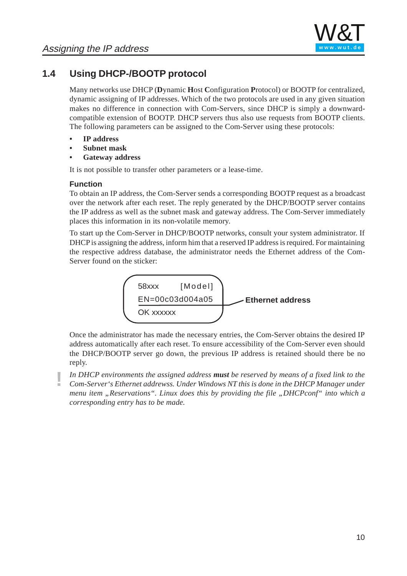

# <span id="page-9-0"></span>**1.4 Using DHCP-/BOOTP protocol**

Many networks use DHCP (**D**ynamic **H**ost **C**onfiguration **P**rotocol) or BOOTP for centralized, dynamic assigning of IP addresses. Which of the two protocols are used in any given situation makes no difference in connection with Com-Servers, since DHCP is simply a downwardcompatible extension of BOOTP. DHCP servers thus also use requests from BOOTP clients. The following parameters can be assigned to the Com-Server using these protocols:

- **IP address**
- **Subnet mask**
- **Gateway address**

It is not possible to transfer other parameters or a lease-time.

#### **Function**

To obtain an IP address, the Com-Server sends [a correspondin](http://www.wut.de)g BOOTP request as a broadcast over the network after each reset. The reply generated by the DHCP/BOOTP server contains the IP address as well as the subnet mask and gateway address. The Com-Server immediately places this information in its non-volatile memory.

To start up the Com-Server in DHCP/BOOTP networks, consult your system administrator. If DHCP is assigning the address, inform him that a reserved IP address is required. For maintaining the respective address database, the administrator needs the Ethernet address of the Com-Server found on the sticker:



Once the administrator has made the necessary entries, the Com-Server obtains the desired IP address automatically after each reset. To ensure accessibility of the Com-Server even should the DHCP/BOOTP server go down, the previous IP address is retained should there be no reply.

**!** *In DHCP environments the assigned address must be reserved by means of a fixed link to the Com-Server's Ethernet addrewss. Under Windows NT this is done in the DHCP Manager under menu item "Reservations". Linux does this by providing the file "DHCPconf" into which a corresponding entry has to be made.*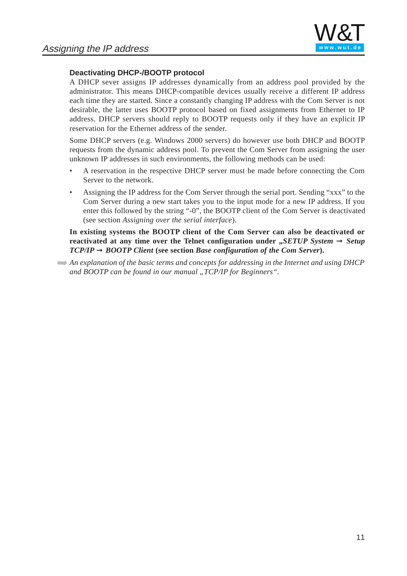

#### **Deactivating DHCP-/BOOTP protocol**

A DHCP sever assigns IP addresses dynamically from an address pool provided by the administrator. This means DHCP-compatible devices usually receive a different IP address each time they are started. Since a constantly changing IP address with the Com Server is not desirable, the latter uses BOOTP protocol based on fixed assignments from Ethernet to IP address. DHCP servers should reply to BOOTP requests only if they have an explicit IP reservation for the Ethernet address of the sender.

Some DHCP servers (e.g. Windows 2000 servers) do however use both DHCP and BOOTP requests from the dynamic address pool. To prevent the Com Server from assigning the user unknown IP addresses in such environments, the following methods can be used:

- A reservation in the respective DHCP server must be made before connecting the Com Server to the network.
- Assigning the IP address for the Com Serv[er through the](http://www.wut.de) serial port. Sending "xxx" to the Com Server during a new start takes you to the input mode for a new IP address. If you enter this followed by the string "-0", the BOOTP client of the Com Server is deactivated (see section *Assigning over the serial interface*).

**In existing systems the BOOTP client of the Com Server can also be deactivated or reactivated at any time over the Telnet configuration under**  $\pi$ *SETUP System* $\rightarrow$ *Setup*  $TCP/IP \rightarrow BOOTP$  *Client* (see section *Base configuration of the Com Server*).

➥*An explanation of the basic terms and concepts for addressing in the Internet and using DHCP and BOOTP can be found in our manual "TCP/IP for Beginners".*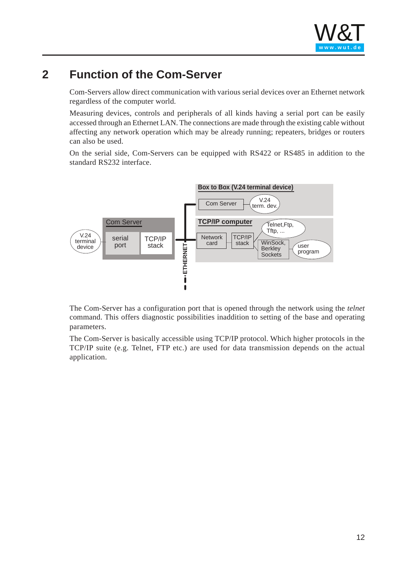# <span id="page-11-0"></span>**2 Function of the Com-Server**

Com-Servers allow direct communication with various serial devices over an Ethernet network regardless of the computer world.

Measuring devices, controls and peripherals of all kinds having a serial port can be easily accessed through an Ethernet LAN. The connections are made through the existing cable without affecting any network operation which may be already running; repeaters, bridges or routers can also be used.

On the serial side, Com-Servers can be equipped with RS422 or RS485 in addition to the standard RS232 interface.



The Com-Server has a configuration port that is opened through the network using the *telnet* command. This offers diagnostic possibilities inaddition to setting of the base and operating parameters.

The Com-Server is basically accessible using TCP/IP protocol. Which higher protocols in the TCP/IP suite (e.g. Telnet, FTP etc.) are used for data transmission depends on the actual application.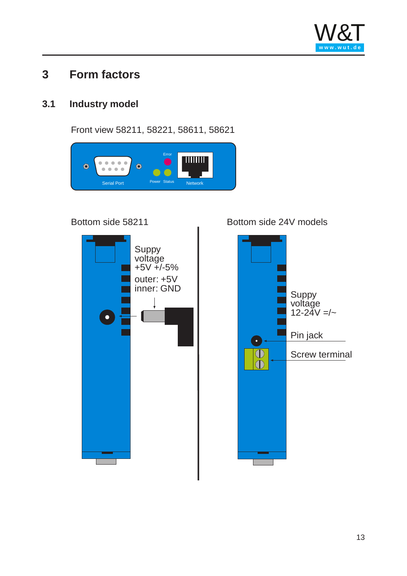

# <span id="page-12-0"></span>**3 Form factors**

# **3.1 Industry model**

Front view 58211, 58221, 58611, 58621





Bottom side 58211 Bottom side 24V models

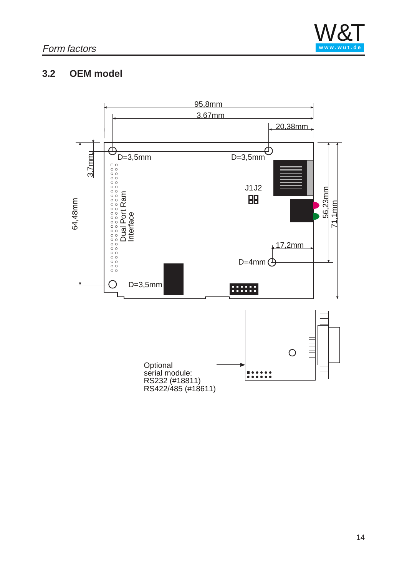

# <span id="page-13-0"></span>**3.2 OEM model**

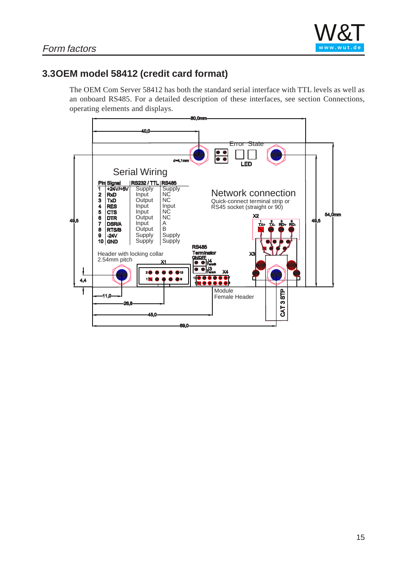

# <span id="page-14-0"></span>**3.3OEM model 58412 (credit card format)**

The OEM Com Server 58412 has both the standard serial interface with TTL levels as well as an onboard RS485. For a detailed description of these interfaces, see section Connections, operating elements and displays.

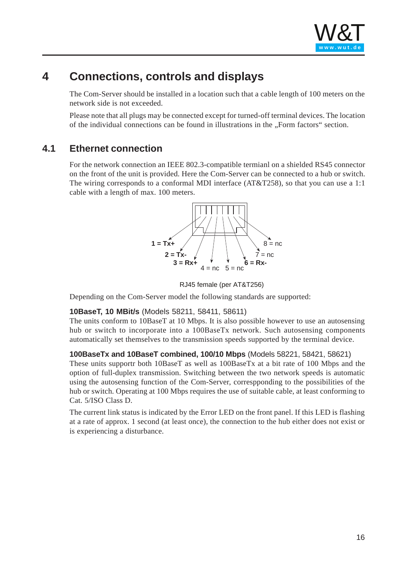

# <span id="page-15-0"></span>**4 Connections, controls and displays**

The Com-Server should be installed in a location such that a cable length of 100 meters on the network side is not exceeded.

Please note that all plugs may be connected except for turned-off terminal devices. The location of the individual connections can be found in illustrations in the "Form factors" section.

### **4.1 Ethernet connection**

For the network connection an IEEE 802.3-compatible termianl on a shielded RS45 connector on the front of the unit is provided. Here the Com-Server can be connected to a hub or switch. The wiring corresponds to a conformal MDI in[terface \(AT&](http://www.wut.de)T258), so that you can use a 1:1 cable with a length of max. 100 meters.



RJ45 female (per AT&T256)

Depending on the Com-Server model the following standards are supported:

#### **10BaseT, 10 MBit/s** (Models 58211, 58411, 58611)

The units conform to 10BaseT at 10 Mbps. It is also possible however to use an autosensing hub or switch to incorporate into a 100BaseTx network. Such autosensing components automatically set themselves to the transmission speeds supported by the terminal device.

#### **100BaseTx and 10BaseT combined, 100/10 Mbps** (Models 58221, 58421, 58621)

These units supportr both 10BaseT as well as 100BaseTx at a bit rate of 100 Mbps and the option of full-duplex transmission. Switching between the two network speeds is automatic using the autosensing function of the Com-Server, correspponding to the possibilities of the hub or switch. Operating at 100 Mbps requires the use of suitable cable, at least conforming to Cat. 5/ISO Class D.

The current link status is indicated by the Error LED on the front panel. If this LED is flashing at a rate of approx. 1 second (at least once), the connection to the hub either does not exist or is experiencing a disturbance.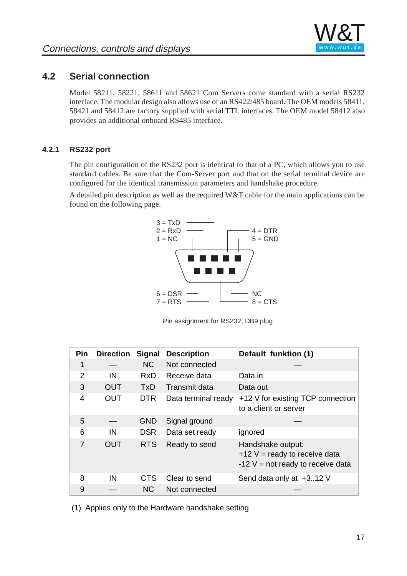

# <span id="page-16-0"></span>**4.2 Serial connection**

Model 58211, 58221, 58611 and 58621 Com Servers come standard with a serial RS232 interface. The modular design also allows use of an RS422/485 board. The OEM models 58411, 58421 and 58412 are factory supplied with serial TTL interfaces. The OEM model 58412 also provides an additional onboard RS485 interface.

#### **4.2.1 RS232 port**

The pin configuration of the RS232 port is identical to that of a PC, which allows you to use standard cables. Be sure that the Com-Server port and that on the serial terminal device are configured for the identical transmission parameters and handshake procedure.

A detailed pin description as well as the require[d W&T cable](http://www.wut.de) for the main applications can be found on the following page.



Pin assignment for RS232, DB9 plug

| Pin           | <b>Direction</b> | Signal     | <b>Description</b>  | Default funktion (1)                                                                        |
|---------------|------------------|------------|---------------------|---------------------------------------------------------------------------------------------|
| 1             |                  | <b>NC</b>  | Not connected       |                                                                                             |
| $\mathcal{P}$ | IN               | <b>RxD</b> | Receive data        | Data in                                                                                     |
| 3             | <b>OUT</b>       | <b>TxD</b> | Transmit data       | Data out                                                                                    |
| 4             | <b>OUT</b>       | <b>DTR</b> | Data terminal ready | +12 V for existing TCP connection<br>to a client or server                                  |
| 5             |                  | <b>GND</b> | Signal ground       |                                                                                             |
| 6             | IN               | <b>DSR</b> | Data set ready      | ignored                                                                                     |
| 7             | <b>OUT</b>       | <b>RTS</b> | Ready to send       | Handshake output:<br>$+12$ V = ready to receive data<br>$-12$ V = not ready to receive data |
| 8             | IN               | CTS        | Clear to send       | Send data only at +312 V                                                                    |
| 9             |                  | NC.        | Not connected       |                                                                                             |

(1) Applies only to the Hardware handshake setting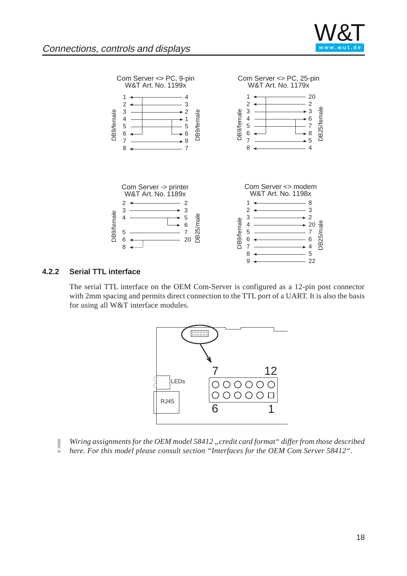

<span id="page-17-0"></span>

#### **4.2.2 Serial TTL interface**

The serial TTL interface on the OEM Com-Server is configured as a 12-pin post connector with 2mm spacing and permits direct connection to the TTL port of a UART. It is also the basis for using all W&T interface modules.



**| Wiring assignments for the OEM model 58412** "credit card format" differ from those described *here. For this model please consult section "Interfaces for the OEM Com Server 58412".*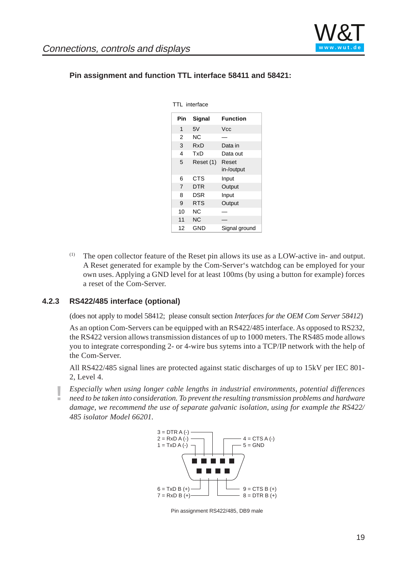

| TE THEHACE     |                 |                     |  |  |  |
|----------------|-----------------|---------------------|--|--|--|
| Pin            | <b>Function</b> |                     |  |  |  |
| 1              | 5V              | Vcc                 |  |  |  |
| $\overline{2}$ | ΝC              |                     |  |  |  |
| 3              | RxD             | Data in             |  |  |  |
| 4              | TxD             | Data out            |  |  |  |
| 5              | Reset (1)       | Reset<br>in-/output |  |  |  |
| 6              | CTS             | Input               |  |  |  |
| $\overline{7}$ | <b>DTR</b>      | Output              |  |  |  |
| 8              | DSR             | Input               |  |  |  |
| 9              | <b>RTS</b>      | Output              |  |  |  |
| 10             | ΝC              |                     |  |  |  |
| 11             | ΝC              |                     |  |  |  |
| 12             | <b>GND</b>      | Signal ground       |  |  |  |

#### <span id="page-18-0"></span>**Pin assignment and function TTL interface 58411 and 58421:**

TTL interface

(1) The open collector feature of the Reset pin allows its use as a LOW-active in- and output. A Reset generated for example by the Com-Server's watchdog can be employed for your own uses. Applying a GND level for at least 100ms (by using a button for example) forces a reset of the Com-Server.

#### **4.2.3 RS422/485 interface (optional)**

(does not apply to model 58412; please consult section *Interfaces for the OEM Com Server 58412*)

As an option Com-Servers can be equipped with an RS422/485 interface. As opposed to RS232, the RS422 version allows transmission distances of up to 1000 meters. The RS485 mode allows you to integrate corresponding 2- or 4-wire bus sytems into a TCP/IP network with the help of the Com-Server.

All RS422/485 signal lines are protected against static discharges of up to 15kV per IEC 801- 2, Level 4.

**!** *Especially when using longer cable lengths in industrial environments, potential differences need to be taken into consideration. To prevent the resulting transmission problems and hardware damage, we recommend the use of separate galvanic isolation, using for example the RS422/ 485 isolator Model 66201.*



Pin assignment RS422/485, DB9 male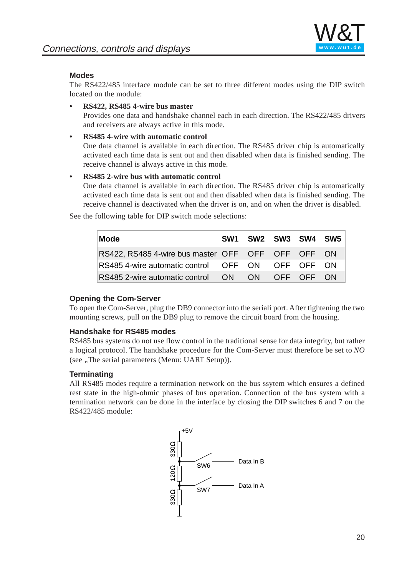

#### **Modes**

The RS422/485 interface module can be set to three different modes using the DIP switch located on the module:

**• RS422, RS485 4-wire bus master**

Provides one data and handshake channel each in each direction. The RS422/485 drivers and receivers are always active in this mode.

**• RS485 4-wire with automatic control**

One data channel is available in each direction. The RS485 driver chip is automatically activated each time data is sent out and then disabled when data is finished sending. The receive channel is always active in this mode.

#### **• RS485 2-wire bus with automatic control**

One data channel is available in each dire[ction. The RS](http://www.wut.de)485 driver chip is automatically activated each time data is sent out and then disabled when data is finished sending. The receive channel is deactivated when the driver is on, and on when the driver is disabled.

See the following table for DIP switch mode selections:

| Mode                                                 | SW <sub>1</sub> | SW2 SW3 SW4 SW5 |  |  |
|------------------------------------------------------|-----------------|-----------------|--|--|
| RS422, RS485 4-wire bus master OFF OFF OFF OFF ON    |                 |                 |  |  |
| RS485 4-wire automatic control OFF ON OFF OFF ON     |                 |                 |  |  |
| RS485 2-wire automatic control  ON  ON  OFF  OFF  ON |                 |                 |  |  |

#### **Opening the Com-Server**

To open the Com-Server, plug the DB9 connector into the seriali port. After tightening the two mounting screws, pull on the DB9 plug to remove the circuit board from the housing.

#### **Handshake for RS485 modes**

RS485 bus systems do not use flow control in the traditional sense for data integrity, but rather a logical protocol. The handshake procedure for the Com-Server must therefore be set to *NO* (see ., The serial parameters (Menu: UART Setup)).

#### **Terminating**

All RS485 modes require a termination network on the bus ssytem which ensures a defined rest state in the high-ohmic phases of bus operation. Connection of the bus system with a termination network can be done in the interface by closing the DIP switches 6 and 7 on the RS422/485 module:

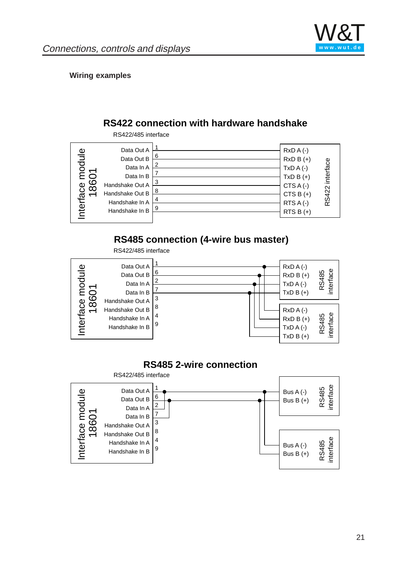

#### **Wiring examples**

### **RS422 connection with hardware handshake**



# **RS485 connection (4-wire bus master)**



### **RS485 2-wire connection**

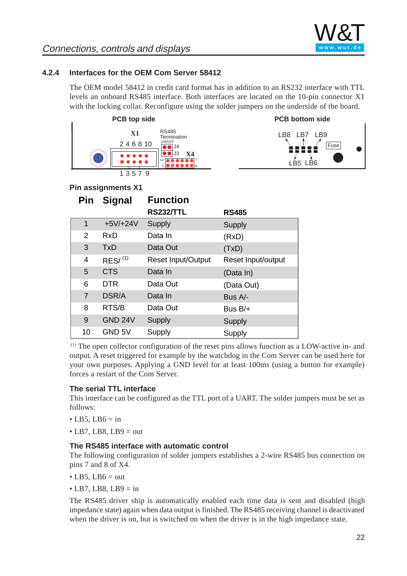

**Fuse** 

**PCB bottom side**

LB8 LB7 LB9

LB5 LB6

### <span id="page-21-0"></span>**4.2.4 Interfaces for the OEM Com Server 58412**

The OEM model 58412 in credit card format has in addition to an RS232 interface with TTL levels an onboard RS485 interface. Both interfaces are located on the 10-pin connector X1 with the locking collar. Reconfigure using the solder jumpers on the underside of the board.



#### **Pin assignments X1**

| Pin            | <b>Signal</b>     | <b>Function</b>           |                    |
|----------------|-------------------|---------------------------|--------------------|
|                |                   | <b>RS232/TTL</b>          | <b>RS485</b>       |
| 1              | $+5V/+24V$        | Supply                    | Supply             |
| 2              | RxD               | Data In                   | (RxD)              |
| 3              | <b>TxD</b>        | Data Out                  | (TxD)              |
| 4              | $RES/$ $(1)$      | <b>Reset Input/Output</b> | Reset Input/output |
| 5              | <b>CTS</b>        | Data In                   | (Data In)          |
| 6              | <b>DTR</b>        | Data Out                  | (Data Out)         |
| $\overline{7}$ | DSR/A             | Data In                   | Bus A/-            |
| 8              | RTS/B             | Data Out                  | Bus $B/+$          |
| 9              | GND 24V           | Supply                    | <b>Supply</b>      |
| 10             | GND <sub>5V</sub> | Supply                    | Supply             |

 (1) The open collector configuration of the reset pins allows function as a LOW-active in- and output. A reset triggered for example by the watchdog in the Com Server can be used here for your own purposes. Applying a GND level for at least 100ms (using a button for example) forces a restart of the Com Server.

#### **The serial TTL interface**

This interface can be configured as the TTL port of a UART. The solder jumpers must be set as follows:

- $\bullet$  LB5, LB6 = in
- $\bullet$  LB7, LB8, LB9 = out

#### **The RS485 interface with automatic control**

The following configuration of solder jumpers establishes a 2-wire RS485 bus connection on pins 7 and 8 of X4.

- $\bullet$  LB5, LB6 = out
- LB7, LB8, LB9  $=$  in

The RS485 driver ship is automatically enabled each time data is sent and disabled (high impedance state) again when data output is finished. The RS485 receiving channel is deactivated when the driver is on, but is switched on when the driver is in the high impedance state.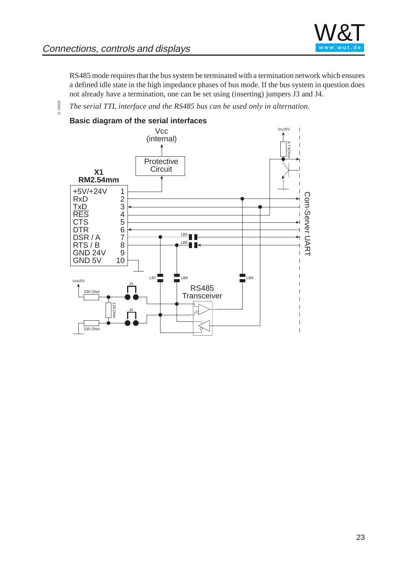

RS485 mode requires that the bus system be terminated with a termination network which ensures a defined idle state in the high impedance phases of bus mode. If the bus system in question does not already have a termination, one can be set using (inserting) jumpers J3 and J4.

**!** *The serial TTL interface and the RS485 bus can be used only in alternation.*

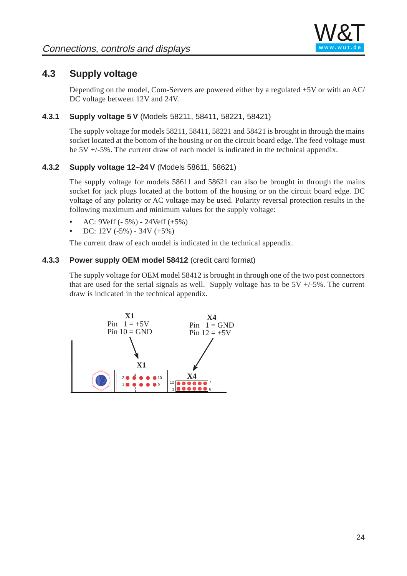

### <span id="page-23-0"></span>**4.3 Supply voltage**

Depending on the model, Com-Servers are powered either by a regulated +5V or with an AC/ DC voltage between 12V and 24V.

#### **4.3.1 Supply voltage 5 V** (Models 58211, 58411, 58221, 58421)

The supply voltage for models 58211, 58411, 58221 and 58421 is brought in through the mains socket located at the bottom of the housing or on the circuit board edge. The feed voltage must be 5V +/-5%. The current draw of each model is indicated in the technical appendix.

#### **4.3.2 Supply voltage 12–24 V** (Models 58611, 58621)

The supply voltage for models 58611 and 58621 can also be brought in through the mains socket for jack plugs located at the bottom of [the housing o](http://www.wut.de)r on the circuit board edge. DC voltage of any polarity or AC voltage may be used. Polarity reversal protection results in the following maximum and minimum values for the supply voltage:

- **•** AC: 9Veff (- 5%) 24Veff (+5%)
- **•** DC: 12V (-5%) 34V (+5%)

The current draw of each model is indicated in the technical appendix.

#### **4.3.3 Power supply OEM model 58412** (credit card format)

The supply voltage for OEM model 58412 is brought in through one of the two post connectors that are used for the serial signals as well. Supply voltage has to be  $5V +1.5%$ . The current draw is indicated in the technical appendix.

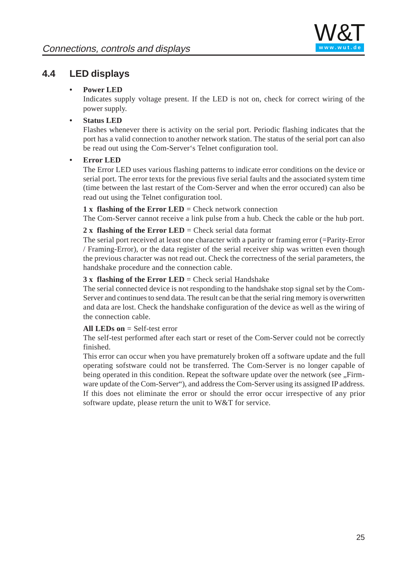

# <span id="page-24-0"></span>**4.4 LED displays**

#### **• Power LED**

Indicates supply voltage present. If the LED is not on, check for correct wiring of the power supply.

### **• Status LED**

Flashes whenever there is activity on the serial port. Periodic flashing indicates that the port has a valid connection to another network station. The status of the serial port can also be read out using the Com-Server's Telnet configuration tool.

#### **• Error LED**

The Error LED uses various flashing patterns to indicate error conditions on the device or serial port. The error texts for the previous five serial faults and the associated system time (time between the last restart of the Com-S[erver and whe](http://www.wut.de)n the error occured) can also be read out using the Telnet configuration tool.

#### **1 x flashing of the Error LED** = Check network connection

The Com-Server cannot receive a link pulse from a hub. Check the cable or the hub port.

#### **2 x flashing of the Error LED** = Check serial data format

The serial port received at least one character with a parity or framing error (=Parity-Error / Framing-Error), or the data register of the serial receiver ship was written even though the previous character was not read out. Check the correctness of the serial parameters, the handshake procedure and the connection cable.

#### **3 x flashing of the Error LED** = Check serial Handshake

The serial connected device is not responding to the handshake stop signal set by the Com-Server and continues to send data. The result can be that the serial ring memory is overwritten and data are lost. Check the handshake configuration of the device as well as the wiring of the connection cable.

#### **All LEDs on** = Self-test error

The self-test performed after each start or reset of the Com-Server could not be correctly finished.

This error can occur when you have prematurely broken off a software update and the full operating sofstware could not be transferred. The Com-Server is no longer capable of being operated in this condition. Repeat the software update over the network (see "Firmware update of the Com-Server"), and address the Com-Server using its assigned IP address. If this does not eliminate the error or should the error occur irrespective of any prior software update, please return the unit to W&T for service.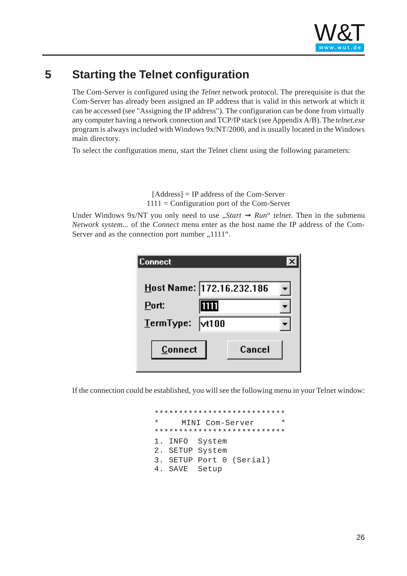

# <span id="page-25-0"></span>**5 Starting the Telnet configuration**

The Com-Server is configured using the *Telnet* network protocol. The prerequisite is that the Com-Server has already been assigned an IP address that is valid in this network at which it can be accessed (see "Assigning the IP address"). The configuration can be done from virtually any computer having a network connection and TCP/IP stack (see Appendix A/B). The *telnet.exe* program is always included with Windows 9x/NT/2000, and is usually located in the Windows main directory.

To select the configuration menu, start the Telnet client using the following parameters:

[Address] = IP addre[ss of the Com](http://www.wut.de)-Server  $1111 =$  Configuration port of the Com-Server

Under Windows 9x/NT you only need to use "*Start*  $\rightarrow$  *Run*" *telnet*. Then in the submenu *Network system...* of the *Connect* menu enter as the host name the IP address of the Com-Server and as the connection port number , 1111".

| Connect         |                           |  |
|-----------------|---------------------------|--|
|                 | Host Name: 172.16.232.186 |  |
| Port:           | 1111                      |  |
| TermType: vt100 |                           |  |
| Connect         | Cancel                    |  |

If the connection could be established, you will see the following menu in your Telnet window:

\*\*\*\*\*\*\*\*\*\*\*\*\*\*\*\*\*\*\*\*\*\*\*\*\*\*\* MINI Com-Server \*\*\*\*\*\*\*\*\*\*\*\*\*\*\*\*\*\*\*\*\*\*\*\*\*\*\* 1. INFO System 2. SETUP System 3. SETUP Port 0 (Serial) 4. SAVE Setup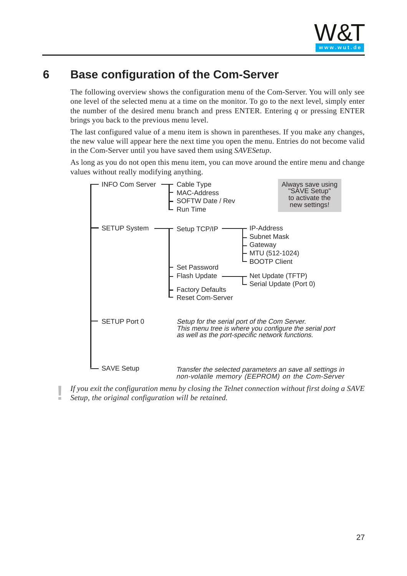

# <span id="page-26-0"></span>**6 Base configuration of the Com-Server**

The following overview shows the configuration menu of the Com-Server. You will only see one level of the selected menu at a time on the monitor. To go to the next level, simply enter the number of the desired menu branch and press ENTER. Entering *q* or pressing ENTER brings you back to the previous menu level.

The last configured value of a menu item is shown in parentheses. If you make any changes, the new value will appear here the next time you open the menu. Entries do not become valid in the Com-Server until you have saved them using *SAVESetup*.

As long as you do not open this menu item, you can move around the entire menu and change values without really modifying anything.



**!** *If you exit the configuration menu by closing the Telnet connection without first doing a SAVE Setup, the original configuration will be retained.*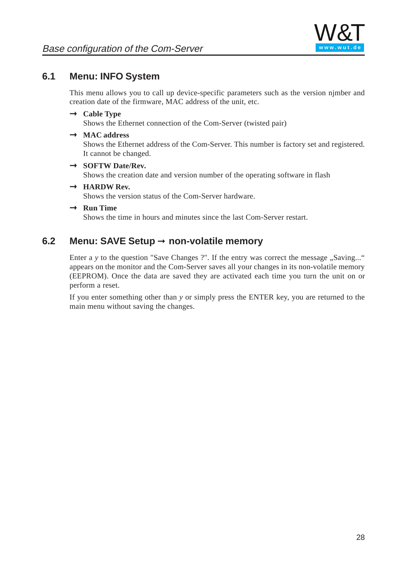

## <span id="page-27-0"></span>**6.1 Menu: INFO System**

This menu allows you to call up device-specific parameters such as the version njmber and creation date of the firmware, MAC address of the unit, etc.

# $\rightarrow$  **Cable Type**

Shows the Ethernet connection of the Com-Server (twisted pair)

# Þ **MAC address**

Shows the Ethernet address of the Com-Server. This number is factory set and registered. It cannot be changed.

# Þ **SOFTW Date/Rev.**

Shows the creation date and version number of the operating software in flash

# Þ **HARDW Rev.**

Shows the version status of the Com-Serve[r hardware.](http://www.wut.de)

# Þ **Run Time**

Shows the time in hours and minutes since the last Com-Server restart.

### **6.2 Menu: SAVE Setup** ➞ **non-volatile memory**

Enter a y to the question "Save Changes ?". If the entry was correct the message "Saving..." appears on the monitor and the Com-Server saves all your changes in its non-volatile memory (EEPROM). Once the data are saved they are activated each time you turn the unit on or perform a reset.

If you enter something other than *y* or simply press the ENTER key, you are returned to the main menu without saving the changes.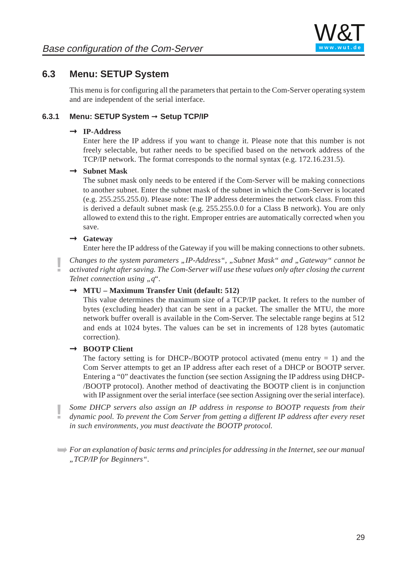

### <span id="page-28-0"></span>**6.3 Menu: SETUP System**

This menu is for configuring all the parameters that pertain to the Com-Server operating system and are independent of the serial interface.

#### **6.3.1 Menu: SETUP System** ➞ **Setup TCP/IP**

# Þ **IP-Address**

Enter here the IP address if you want to change it. Please note that this number is not freely selectable, but rather needs to be specified based on the network address of the TCP/IP network. The format corresponds to the normal syntax (e.g. 172.16.231.5).

# $\rightarrow$  Subnet Mask

The subnet mask only needs to be entered if the Com-Server will be making connections to another subnet. Enter the subnet mask of [the subnet in](http://www.wut.de) which the Com-Server is located (e.g. 255.255.255.0). Please note: The IP address determines the network class. From this is derived a default subnet mask (e.g. 255.255.0.0 for a Class B network). You are only allowed to extend this to the right. Emproper entries are automatically corrected when you save.

# Þ **Gateway**

Enter here the IP address of the Gateway if you will be making connections to other subnets.

**!** *Changes to the system parameters "IP-Address", "Subnet Mask" and "Gateway" cannot be activated right after saving. The Com-Server will use these values only after closing the current Telnet connection using "q".* 

# Þ **MTU – Maximum Transfer Unit (default: 512)**

This value determines the maximum size of a TCP/IP packet. It refers to the number of bytes (excluding header) that can be sent in a packet. The smaller the MTU, the more network buffer overall is available in the Com-Server. The selectable range begins at 512 and ends at 1024 bytes. The values can be set in increments of 128 bytes (automatic correction).

# Þ **BOOTP Client**

The factory setting is for DHCP-/BOOTP protocol activated (menu entry  $= 1$ ) and the Com Server attempts to get an IP address after each reset of a DHCP or BOOTP server. Entering a "0" deactivates the function (see section Assigning the IP address using DHCP- /BOOTP protocol). Another method of deactivating the BOOTP client is in conjunction with IP assignment over the serial interface (see section Assigning over the serial interface).

**!** *Some DHCP servers also assign an IP address in response to BOOTP requests from their dynamic pool. To prevent the Com Server from getting a different IP address after every reset in such environments, you must deactivate the BOOTP protocol.*

➥*For an explanation of basic terms and principles for addressing in the Internet, see our manual "TCP/IP for Beginners".*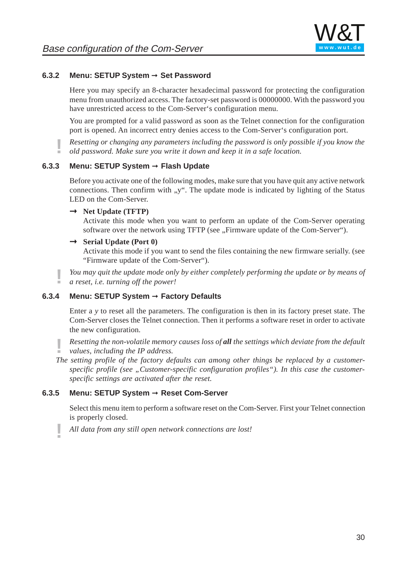

#### **6.3.2 Menu: SETUP System** ➞ **Set Password**

Here you may specify an 8-character hexadecimal password for protecting the configuration menu from unauthorized access. The factory-set password is 00000000. With the password you have unrestricted access to the Com-Server's configuration menu.

You are prompted for a valid password as soon as the Telnet connection for the configuration port is opened. An incorrect entry denies access to the Com-Server's configuration port.

**!** *Resetting or changing any parameters including the password is only possible if you know the old password. Make sure you write it down and keep it in a safe location.*

#### **6.3.3 Menu: SETUP System** ➞ **Flash Update**

Before you activate one of the following modes, make sure that you have quit any active network connections. Then confirm with "y". The upda[te mode is in](http://www.wut.de)dicated by lighting of the Status LED on the Com-Server.

# Þ **Net Update (TFTP)**

Activate this mode when you want to perform an update of the Com-Server operating software over the network using TFTP (see "Firmware update of the Com-Server").

# Þ **Serial Update (Port 0)**

Activate this mode if you want to send the files containing the new firmware serially. (see "Firmware update of the Com-Server").

**!** *You may quit the update mode only by either completely performing the update or by means of a reset, i.e. turning off the power!*

#### **6.3.4 Menu: SETUP System** ➞ **Factory Defaults**

Enter a *y* to reset all the parameters. The configuration is then in its factory preset state. The Com-Server closes the Telnet connection. Then it performs a software reset in order to activate the new configuration.

**!** *Resetting the non-volatile memory causes loss of all the settings which deviate from the default values, including the IP address.*

*The setting profile of the factory defaults can among other things be replaced by a customer*specific profile (see "Customer-specific configuration profiles"). In this case the customer*specific settings are activated after the reset.*

#### **6.3.5 Menu: SETUP System** ➞ **Reset Com-Server**

Select this menu item to perform a software reset on the Com-Server. First your Telnet connection is properly closed.

**!** *All data from any still open network connections are lost!*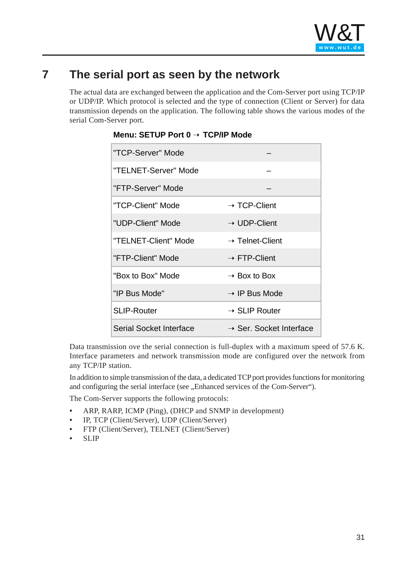

# <span id="page-30-0"></span>**7 The serial port as seen by the network**

The actual data are exchanged between the application and the Com-Server port using TCP/IP or UDP/IP. Which protocol is selected and the type of connection (Client or Server) for data transmission depends on the application. The following table shows the various modes of the serial Com-Server port.

| "TCP-Server" Mode       |                                     |
|-------------------------|-------------------------------------|
| "TELNET-Server" Mode    |                                     |
| "FTP-Server" Mode       |                                     |
| "TCP-Client" Mode       | $\rightarrow$ TCP-Client            |
| "UDP-Client" Mode       | $\rightarrow$ UDP-Client            |
| "TELNET-Client" Mode    | $\rightarrow$ Telnet-Client         |
| "FTP-Client" Mode       | $\rightarrow$ FTP-Client            |
| "Box to Box" Mode       | $\rightarrow$ Box to Box            |
| "IP Bus Mode"           | $\rightarrow$ IP Bus Mode           |
| <b>SLIP-Router</b>      | $\rightarrow$ SLIP Router           |
| Serial Socket Interface | $\rightarrow$ Ser. Socket Interface |

### **Menu: SETUP Port 0** ➝ **TCP/IP Mode**

Data transmission ove the serial connection is full-duplex with a maximum speed of 57.6 K. Interface parameters and network transmission mode are configured over the network from any TCP/IP station.

In addition to simple transmission of the data, a dedicated TCP port provides functions for monitoring and configuring the serial interface (see , Enhanced services of the Com-Server").

The Com-Server supports the following protocols:

- **•** ARP, RARP, ICMP (Ping), (DHCP and SNMP in development)
- **•** IP, TCP (Client/Server), UDP (Client/Server)
- **•** FTP (Client/Server), TELNET (Client/Server)
- **•** SLIP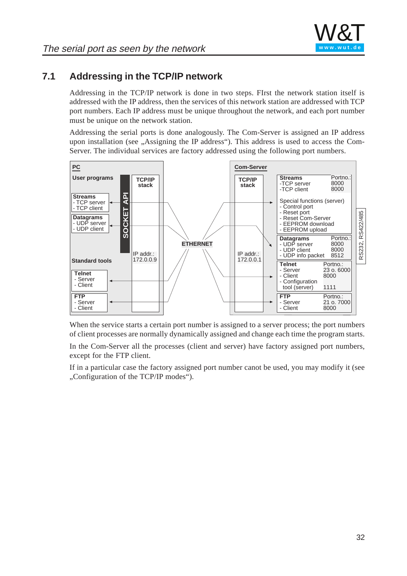

# <span id="page-31-0"></span>**7.1 Addressing in the TCP/IP network**

Addressing in the TCP/IP network is done in two steps. FIrst the network station itself is addressed with the IP address, then the services of this network station are addressed with TCP port numbers. Each IP address must be unique throughout the network, and each port number must be unique on the network station.

Addressing the serial ports is done analogously. The Com-Server is assigned an IP address upon installation (see "Assigning the IP address"). This address is used to access the Com-Server. The individual services are factory addressed using the following port numbers.



When the service starts a certain port number is assigned to a server process; the port numbers of client processes are normally dynamically assigned and change each time the program starts.

In the Com-Server all the processes (client and server) have factory assigned port numbers, except for the FTP client.

If in a particular case the factory assigned port number canot be used, you may modify it (see "Configuration of the TCP/IP modes").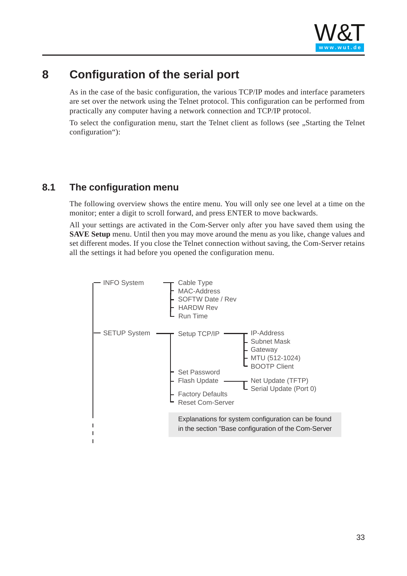

# <span id="page-32-0"></span>**8 Configuration of the serial port**

As in the case of the basic configuration, the various TCP/IP modes and interface parameters are set over the network using the Telnet protocol. This configuration can be performed from practically any computer having a network connection and TCP/IP protocol.

To select the configuration menu, start the Telnet client as follows (see "Starting the Telnet") configuration"):

### **8.1 The configuration menu**

The following overview shows the entire men[u. You will on](http://www.wut.de)ly see one level at a time on the monitor; enter a digit to scroll forward, and press ENTER to move backwards.

All your settings are activated in the Com-Server only after you have saved them using the **SAVE Setup** menu. Until then you may move around the menu as you like, change values and set different modes. If you close the Telnet connection without saving, the Com-Server retains all the settings it had before you opened the configuration menu.

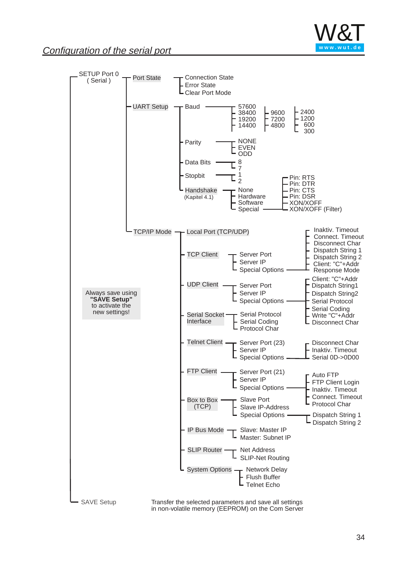

## **Configuration of the serial port**

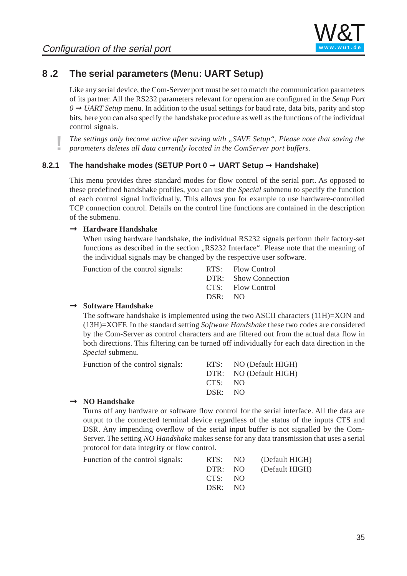

# <span id="page-34-0"></span>**8 .2 The serial parameters (Menu: UART Setup)**

Like any serial device, the Com-Server port must be set to match the communication parameters of its partner. All the RS232 parameters relevant for operation are configured in the *Setup Port 0 → UART Setup* menu. In addition to the usual settings for baud rate, data bits, parity and stop bits, here you can also specify the handshake procedure as well as the functions of the individual control signals.

**!** *The settings only become active after saving with "SAVE Setup". Please note that saving the parameters deletes all data currently located in the ComServer port buffers.*

#### **8.2.1 The handshake modes (SETUP Port 0** ➞ **UART Setup** ➞ **Handshake)**

This menu provides three standard modes for flow control of the serial port. As opposed to these predefined handshake profiles, you can use the *Special* submenu to specify the function of each control signal individually. This allow[s you for exam](http://www.wut.de)ple to use hardware-controlled TCP connection control. Details on the control line functions are contained in the description of the submenu.

# Þ **Hardware Handshake**

When using hardware handshake, the individual RS232 signals perform their factory-set functions as described in the section  $RS232$  Interface". Please note that the meaning of the individual signals may be changed by the respective user software.

Function of the control signals:

|         | RTS: Flow Control    |
|---------|----------------------|
|         | DTR: Show Connection |
|         | CTS: Flow Control    |
| DSR: NO |                      |
|         |                      |

# Þ **Software Handshake**

The software handshake is implemented using the two ASCII characters (11H)=XON and (13H)=XOFF. In the standard setting *Software Handshake* these two codes are considered by the Com-Server as control characters and are filtered out from the actual data flow in both directions. This filtering can be turned off individually for each data direction in the *Special* submenu.

|         | RTS: NO (Default HIGH) |
|---------|------------------------|
|         | DTR: NO (Default HIGH) |
|         |                        |
| DSR: NO |                        |
|         | CTS: NO                |

# Þ **NO Handshake**

Turns off any hardware or software flow control for the serial interface. All the data are output to the connected terminal device regardless of the status of the inputs CTS and DSR. Any impending overflow of the serial input buffer is not signalled by the Com-Server. The setting *NO Handshake* makes sense for any data transmission that uses a serial protocol for data integrity or flow control.

| Function of the control signals: |         | RTS: NO (Default HIGH) |
|----------------------------------|---------|------------------------|
|                                  |         | DTR: NO (Default HIGH) |
|                                  | CTS: NO |                        |
|                                  | DSR: NO |                        |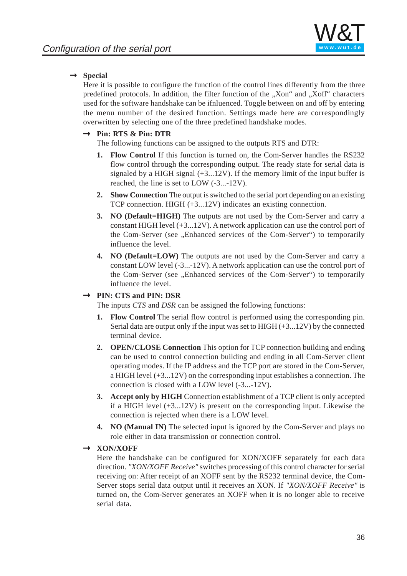# $\rightarrow$  Special

Here it is possible to configure the function of the control lines differently from the three predefined protocols. In addition, the filter function of the "Xon" and "Xoff" characters used for the software handshake can be ifnluenced. Toggle between on and off by entering the menu number of the desired function. Settings made here are correspondingly overwritten by selecting one of the three predefined handshake modes.

# Þ **Pin: RTS & Pin: DTR**

The following functions can be assigned to the outputs RTS and DTR:

- **1. Flow Control** If this function is turned on, the Com-Server handles the RS232 flow control through the corresponding output. The ready state for serial data is signaled by a HIGH signal  $(+3...12V)$ . If the memory limit of the input buffer is reached, the line is set to LOW (-3...-12V).
- **2. Show Connection** The output is sw[itched to the se](http://www.wut.de)rial port depending on an existing TCP connection. HIGH (+3...12V) indicates an existing connection.
- **3. NO (Default=HIGH)** The outputs are not used by the Com-Server and carry a constant HIGH level (+3...12V). A network application can use the control port of the Com-Server (see "Enhanced services of the Com-Server") to temporarily influence the level.
- **4. NO (Default=LOW)** The outputs are not used by the Com-Server and carry a constant LOW level (-3...-12V). A network application can use the control port of the Com-Server (see "Enhanced services of the Com-Server") to temporarily influence the level.

# Þ **PIN: CTS and PIN: DSR**

The inputs *CTS* and *DSR* can be assigned the following functions:

- **1. Flow Control** The serial flow control is performed using the corresponding pin. Serial data are output only if the input was set to HIGH  $(+3...12V)$  by the connected terminal device.
- **2. OPEN/CLOSE Connection** This option for TCP connection building and ending can be used to control connection building and ending in all Com-Server client operating modes. If the IP address and the TCP port are stored in the Com-Server, a HIGH level (+3...12V) on the corresponding input establishes a connection. The connection is closed with a LOW level (-3...-12V).
- **3. Accept only by HIGH** Connection establishment of a TCP client is only accepted if a HIGH level  $(+3...12V)$  is present on the corresponding input. Likewise the connection is rejected when there is a LOW level.
- **4. NO (Manual IN)** The selected input is ignored by the Com-Server and plays no role either in data transmission or connection control.

# Þ **XON/XOFF**

Here the handshake can be configured for XON/XOFF separately for each data direction. *"XON/XOFF Receive"* switches processing of this control character for serial receiving on: After receipt of an XOFF sent by the RS232 terminal device, the Com-Server stops serial data output until it receives an XON. If *"XON/XOFF Receive"* is turned on, the Com-Server generates an XOFF when it is no longer able to receive serial data.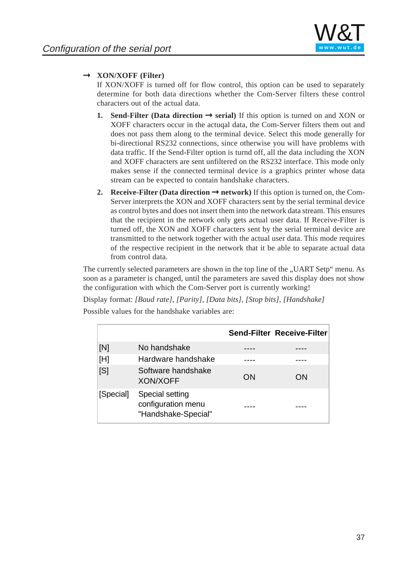

# Þ **XON/XOFF (Filter)**

If XON/XOFF is turned off for flow control, this option can be used to separately determine for both data directions whether the Com-Server filters these control characters out of the actual data.

- **1.** Send-Filter (Data direction  $\rightarrow$  serial) If this option is turned on and XON or XOFF characters occur in the actuqal data, the Com-Server filters them out and does not pass them along to the terminal device. Select this mode generally for bi-directional RS232 connections, since otherwise you will have problems with data traffic. If the Send-Filter option is turnd off, all the data including the XON and XOFF characters are sent unfiltered on the RS232 interface. This mode only makes sense if the connected terminal device is a graphics printer whose data stream can be expected to contain handshake characters.
- **2. Receive-Filter (Data direction**  $\rightarrow$  **network) If this option is turned on, the Com-**Server interprets the XON and XO[FF characters](http://www.wut.de) sent by the serial terminal device as control bytes and does not insert them into the network data stream. This ensures that the recipient in the network only gets actual user data. If Receive-Filter is turned off, the XON and XOFF characters sent by the serial terminal device are transmitted to the network together with the actual user data. This mode requires of the respective recipient in the network that it be able to separate actual data from control data.

The currently selected parameters are shown in the top line of the "UART Setp" menu. As soon as a parameter is changed, until the parameters are saved this display does not show the configuration with which the Com-Server port is currently working!

Display format: *[Baud rate], [Parity], [Data bits], [Stop bits], [Handshake]* Possible values for the handshake variables are:

|           |                                                              |    | <b>Send-Filter Receive-Filter</b> |
|-----------|--------------------------------------------------------------|----|-----------------------------------|
| [N]       | No handshake                                                 |    |                                   |
| [H]       | Hardware handshake                                           |    |                                   |
| [S]       | Software handshake<br><b>XON/XOFF</b>                        | ON | ON                                |
| [Special] | Special setting<br>configuration menu<br>"Handshake-Special" |    |                                   |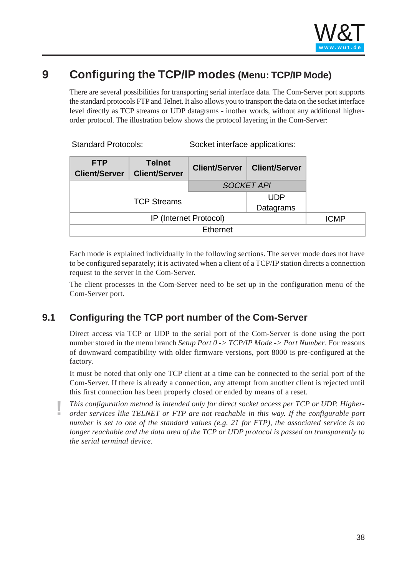

# **9 Configuring the TCP/IP modes (Menu: TCP/IP Mode)**

There are several possibilities for transporting serial interface data. The Com-Server port supports the standard protocols FTP and Telnet. It also allows you to transport the data on the socket interface level directly as TCP streams or UDP datagrams - inother words, without any additional higherorder protocol. The illustration below shows the protocol layering in the Com-Server:

| <b>Standard Protocols:</b> | Socket interface applications: |
|----------------------------|--------------------------------|
|                            |                                |

| <b>FTP</b><br><b>Client/Server</b> | <b>Telnet</b><br><b>Client/Server</b> | <b>Client/Server</b> | <b>Client/Server</b> |  |
|------------------------------------|---------------------------------------|----------------------|----------------------|--|
|                                    |                                       |                      | <b>SOCKET API</b>    |  |
| <b>TCP Streams</b>                 |                                       |                      | <b>UDP</b>           |  |
|                                    |                                       |                      | Datagrams            |  |
| IP (Internet Protocol)             |                                       | <b>ICMP</b>          |                      |  |
| Ethernet                           |                                       |                      |                      |  |

Each mode is explained individually in the following sections. The server mode does not have to be configured separately; it is activated when a client of a TCP/IP station directs a connection request to the server in the Com-Server.

The client processes in the Com-Server need to be set up in the configuration menu of the Com-Server port.

# **9.1 Configuring the TCP port number of the Com-Server**

Direct access via TCP or UDP to the serial port of the Com-Server is done using the port number stored in the menu branch *Setup Port 0 -> TCP/IP Mode -> Port Number*. For reasons of downward compatibility with older firmware versions, port 8000 is pre-configured at the factory.

It must be noted that only one TCP client at a time can be connected to the serial port of the Com-Server. If there is already a connection, any attempt from another client is rejected until this first connection has been properly closed or ended by means of a reset.

**!** *This configuration metnod is intended only for direct socket access per TCP or UDP. Higher-order services like TELNET or FTP are not reachable in this way. If the configurable port number is set to one of the standard values (e.g. 21 for FTP), the associated service is no longer reachable and the data area of the TCP or UDP protocol is passed on transparently to the serial terminal device.*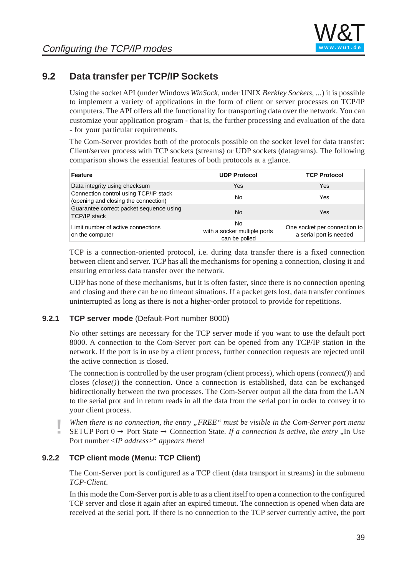# **9.2 Data transfer per TCP/IP Sockets**

Using the socket API (under Windows *WinSock*, under UNIX *Berkley Sockets*, ...) it is possible to implement a variety of applications in the form of client or server processes on TCP/IP computers. The API offers all the functionality for transporting data over the network. You can customize your application program - that is, the further processing and evaluation of the data - for your particular requirements.

The Com-Server provides both of the protocols possible on the socket level for data transfer: Client/server process with TCP sockets (streams) or UDP sockets (datagrams). The following comparison shows the essential features of both protocols at a glance.

| <b>Feature</b>                                                                | <b>UDP Protocol</b>                                  | <b>TCP Protocol</b>                                     |
|-------------------------------------------------------------------------------|------------------------------------------------------|---------------------------------------------------------|
| Data integrity using checksum                                                 | Yes                                                  | Yes                                                     |
| Connection control using TCP/IP stack<br>(opening and closing the connection) | No                                                   | Yes                                                     |
| Guarantee correct packet sequence using<br><b>TCP/IP stack</b>                | N <sub>0</sub>                                       | Yes                                                     |
| Limit number of active connections<br>on the computer                         | No.<br>with a socket multiple ports<br>can be polled | One socket per connection to<br>a serial port is needed |

TCP is a connection-oriented protocol, i.e. during data transfer there is a fixed connection between client and server. TCP has all the mechanisms for opening a connection, closing it and ensuring errorless data transfer over the network.

UDP has none of these mechanisms, but it is often faster, since there is no connection opening and closing and there can be no timeout situations. If a packet gets lost, data transfer continues uninterrupted as long as there is not a higher-order protocol to provide for repetitions.

### **9.2.1 TCP server mode** (Default-Port number 8000)

No other settings are necessary for the TCP server mode if you want to use the default port 8000. A connection to the Com-Server port can be opened from any TCP/IP station in the network. If the port is in use by a client process, further connection requests are rejected until the active connection is closed.

The connection is controlled by the user program (client process), which opens (*connect()*) and closes (*close()*) the connection. Once a connection is established, data can be exchanged bidirectionally between the two processes. The Com-Server output all the data from the LAN to the serial prot and in return reads in all the data from the serial port in order to convey it to your client process.

**!** *When there is no connection, the entry "FREE" must be visible in the Com-Server port menu* SETUP Port  $0 \rightarrow$  Port State  $\rightarrow$  Connection State. If a connection is active, the entry  $\Box$  In Use Port number <*IP address*>" *appears there!*

### **9.2.2 TCP client mode (Menu: TCP Client)**

The Com-Server port is configured as a TCP client (data transport in streams) in the submenu *TCP-Client*.

In this mode the Com-Server port is able to as a client itself to open a connection to the configured TCP server and close it again after an expired timeout. The connection is opened when data are received at the serial port. If there is no connection to the TCP server currently active, the port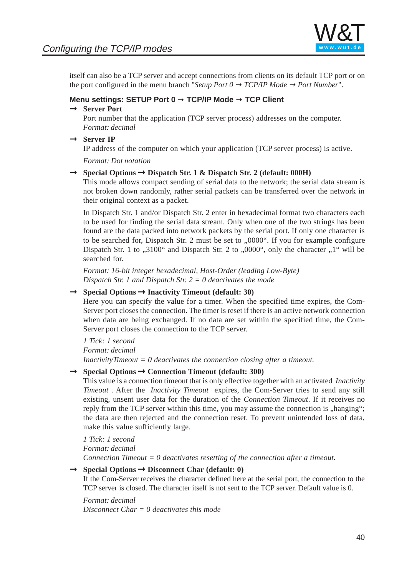

itself can also be a TCP server and accept connections from clients on its default TCP port or on the port configured in the menu branch "*Setup Port*  $0 \rightarrow TCP/IP Mode \rightarrow Port Number$ ".

#### **Menu settings: SETUP Port 0** ➞ **TCP/IP Mode** ➞ **TCP Client**

# Þ **Server Port**

Port number that the application (TCP server process) addresses on the computer. *Format: decimal*

 $\rightarrow$  **Server IP** 

IP address of the computer on which your application (TCP server process) is active.

*Format: Dot notation*

# Þ **Special Options** Þ **Dispatch Str. 1 & Dispatch Str. 2 (default: 000H)**

This mode allows compact sending of serial data to the network; the serial data stream is not broken down randomly, rather serial p[ackets can be](http://www.wut.de) transferred over the network in their original context as a packet.

In Dispatch Str. 1 and/or Dispatch Str. 2 enter in hexadecimal format two characters each to be used for finding the serial data stream. Only when one of the two strings has been found are the data packed into network packets by the serial port. If only one character is to be searched for, Dispatch Str. 2 must be set to  $0.0000$ . If you for example configure Dispatch Str. 1 to  $0.3100$ " and Dispatch Str. 2 to  $0.0000$ ", only the character  $0.1$ " will be searched for.

*Format: 16-bit integer hexadecimal, Host-Order (leading Low-Byte) Dispatch Str. 1 and Dispatch Str. 2 = 0 deactivates the mode*

# Þ **Special Options** Þ **Inactivity Timeout (default: 30)**

Here you can specify the value for a timer. When the specified time expires, the Com-Server port closes the connection. The timer is reset if there is an active network connection when data are being exchanged. If no data are set within the specified time, the Com-Server port closes the connection to the TCP server.

*1 Tick: 1 second Format: decimal InactivityTimeout = 0 deactivates the connection closing after a timeout.*

# Þ **Special Options** Þ **Connection Timeout (default: 300)**

This value is a connection timeout that is only effective together with an activated *Inactivity Timeout* . After the *Inactivity Timeout* expires, the Com-Server tries to send any still existing, unsent user data for the duration of the *Connection Timeout*. If it receives no reply from the TCP server within this time, you may assume the connection is "hanging"; the data are then rejected and the connection reset. To prevent unintended loss of data, make this value sufficiently large.

*1 Tick: 1 second Format: decimal Connection Timeout = 0 deactivates resetting of the connection after a timeout.*

# Þ **Special Options** Þ **Disconnect Char (default: 0)**

If the Com-Server receives the character defined here at the serial port, the connection to the TCP server is closed. The character itself is not sent to the TCP server. Default value is 0.

*Format: decimal*

*Disconnect Char = 0 deactivates this mode*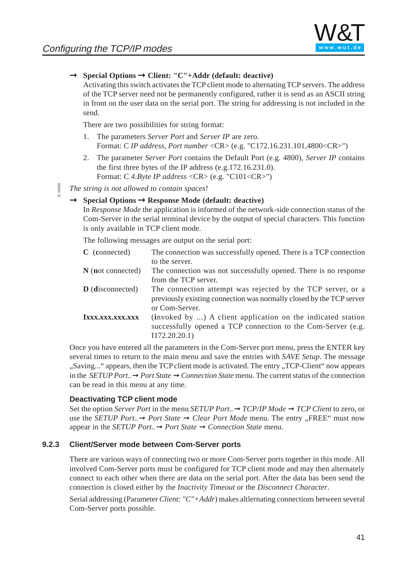

# Þ **Special Options** Þ **Client: "C"+Addr (default: deactive)**

Activating this switch activates the TCP client mode to alternating TCP servers. The address of the TCP server need not be permanently configured, rather it is send as an ASCII string in front on the user data on the serial port. The string for addressing is not included in the send.

There are two possibilities for string format:

- 1. The parameters *Server Port* and *Server IP* are zero. Format: C *IP address, Port number* <CR> (e.g. "C172.16.231.101,4800<CR>")
- 2. The parameter *Server Port* contains the Default Port (e.g. 4800), *Server IP* contains the first three bytes of the IP address (e.g.172.16.231.0). Format: C *4.Byte IP address* <CR> (e.g. "C101<CR>")

**!** *The string is not allowed to contain spaces!*

# Þ **Special Options** Þ **Response Mode (defa[ult: deactive](http://www.wut.de))**

In *Response Mode* the application is informed of the network-side connection status of the Com-Server in the serial terminal device by the output of special characters. This function is only available in TCP client mode.

The following messages are output on the serial port:

| C (connected)           | The connection was successfully opened. There is a TCP connection                                                                                     |
|-------------------------|-------------------------------------------------------------------------------------------------------------------------------------------------------|
|                         | to the server.                                                                                                                                        |
| $N$ (not connected)     | The connection was not successfully opened. There is no response                                                                                      |
|                         | from the TCP server.                                                                                                                                  |
| <b>D</b> (disconnected) | The connection attempt was rejected by the TCP server, or a<br>previously existing connection was normally closed by the TCP server<br>or Com-Server. |
| IXXX.XXX.XXX.XXX        | (invoked by ) A client application on the indicated station<br>successfully opened a TCP connection to the Com-Server (e.g.<br>I172.20.20.1           |

Once you have entered all the parameters in the Com-Server port menu, press the ENTER key several times to return to the main menu and save the entries with *SAVE Setup*. The message "Saving..." appears, then the TCP client mode is activated. The entry "TCP-Client" now appears in the *SETUP Port..*➞ *Port State* ➞ *Connection State* menu. The current status of the connection can be read in this menu at any time.

#### **Deactivating TCP client mode**

Set the option *Server Port* in the menu *SETUP Port..*➞ *TCP/IP Mode* ➞ *TCP Client* to zero, or use the *SETUP Port..*  $\rightarrow$  *Port State*  $\rightarrow$  *Clear Port Mode* menu. The entry ...FREE" must now appear in the *SETUP Port..*➞ *Port State* ➞ *Connection State* menu.

#### **9.2.3 Client/Server mode between Com-Server ports**

There are various ways of connecting two or more Com-Server ports together in this mode. All involved Com-Server ports must be configured for TCP client mode and may then alternately connect to each other when there are data on the serial port. After the data has been send the connection is closed either by the *Inactivity Timeout* or the *Disconnect Character*.

Serial addressing (Parameter *Client: "C"+Addr*) makes altlernating connections between several Com-Server ports possible.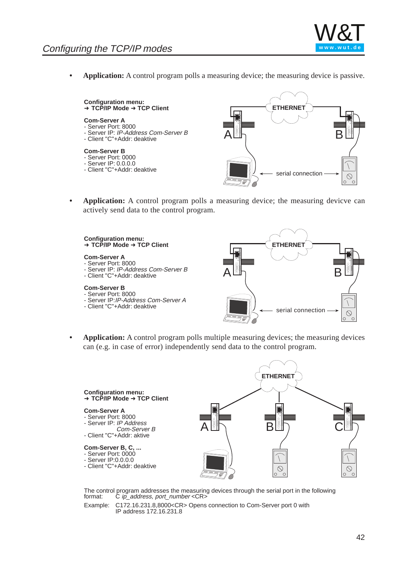**Application:** A control program polls a measuring device; the measuring device is passive.

**Configuration menu:** ➜ **TCP/IP Mode** ➜ **TCP Client**

#### **Com-Server A**

- Server Port: 8000 - Server IP: IP-Address Com-Server B
- Client "C"+Addr: deaktive

#### **Com-Server B**

- Server Port: 0000
- Server IP: 0.0.0.0
- 



**• Application:** A control program polls a [measuring dev](http://www.wut.de)ice; the measuring devicve can actively send data to the control program.



**• Application:** A control program polls multiple measuring devices; the measuring devices can (e.g. in case of error) independently send data to the control program.



The control program addresses the measuring devices through the serial port in the following format:  $C$  ip address, port number < $C$ R> C ip\_address, port\_number <CR>

Example: C172.16.231.8,8000<CR> Opens connection to Com-Server port 0 with IP address 172.16.231.8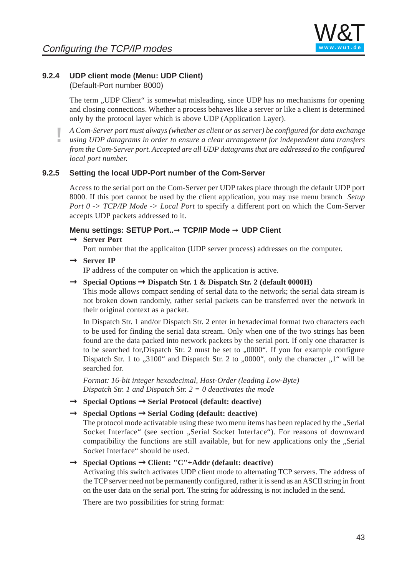

### **9.2.4 UDP client mode (Menu: UDP Client)**

(Default-Port number 8000)

The term "UDP Client" is somewhat misleading, since UDP has no mechanisms for opening and closing connections. Whether a process behaves like a server or like a client is determined only by the protocol layer which is above UDP (Application Layer).

**!** *A Com-Server port must always (whether as client or as server) be configured for data exchange using UDP datagrams in order to ensure a clear arrangement for independent data transfers from the Com-Server port. Accepted are all UDP datagrams that are addressed to the configured local port number.*

#### **9.2.5 Setting the local UDP-Port number of the Com-Server**

Access to the serial port on the Com-Server per [UDP takes pla](http://www.wut.de)ce through the default UDP port 8000. If this port cannot be used by the client application, you may use menu branch *Setup Port 0 -> TCP/IP Mode -> Local Port* to specify a different port on which the Com-Server accepts UDP packets addressed to it.

#### **Menu settings: SETUP Port..**➞ **TCP/IP Mode** ➞ **UDP Client** Þ **Server Port**

- Port number that the applicaiton (UDP server process) addresses on the computer.
- $\rightarrow$  **Server IP**

IP address of the computer on which the application is active.

Þ **Special Options** Þ **Dispatch Str. 1 & Dispatch Str. 2 (default 0000H)**

This mode allows compact sending of serial data to the network; the serial data stream is not broken down randomly, rather serial packets can be transferred over the network in their original context as a packet.

In Dispatch Str. 1 and/or Dispatch Str. 2 enter in hexadecimal format two characters each to be used for finding the serial data stream. Only when one of the two strings has been found are the data packed into network packets by the serial port. If only one character is to be searched for, Dispatch Str. 2 must be set to  $,0000$ . If you for example configure Dispatch Str. 1 to  $0.3100$ " and Dispatch Str. 2 to  $0.0000$ ", only the character  $0.1$ " will be searched for.

*Format: 16-bit integer hexadecimal, Host-Order (leading Low-Byte) Dispatch Str. 1 and Dispatch Str. 2 = 0 deactivates the mode*

Þ **Special Options** Þ **Serial Protocol (default: deactive)**

# Þ **Special Options** Þ **Serial Coding (default: deactive)**

The protocol mode activatable using these two menu items has been replaced by the "Serial Socket Interface" (see section ..Serial Socket Interface"). For reasons of downward compatibility the functions are still available, but for new applications only the "Serial Socket Interface" should be used.

# Þ **Special Options** Þ **Client: "C"+Addr (default: deactive)**

Activating this switch activates UDP client mode to alternating TCP servers. The address of the TCP server need not be permanently configured, rather it is send as an ASCII string in front on the user data on the serial port. The string for addressing is not included in the send.

There are two possibilities for string format: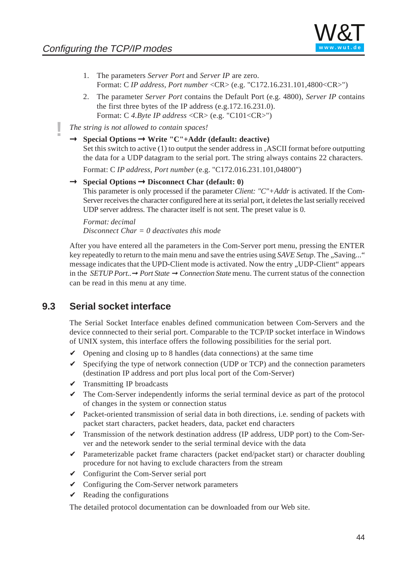

- 1. The parameters *Server Port* and *Server IP* are zero. Format: C *IP address, Port number* <CR> (e.g. "C172.16.231.101,4800<CR>")
- 2. The parameter *Server Port* contains the Default Port (e.g. 4800), *Server IP* contains the first three bytes of the IP address (e.g.172.16.231.0). Format: C *4.Byte IP address* <CR> (e.g. "C101<CR>")
- **!** *The string is not allowed to contain spaces!*
	- Þ **Special Options** Þ **Write "C"+Addr (default: deactive)** Set this switch to active (1) to output the sender address in , ASCII format before outputting the data for a UDP datagram to the serial port. The string always contains 22 characters.

Format: C *IP address, Port number* (e.g. "C172.016.231.101,04800")

UDP server address. The character itself is not sent. The preset value is 0.

Þ **Special Options** Þ **Disconnect Char (default: 0)** This parameter is only processed if the parameter *Client: "C"+Addr* is activated. If the Com-Server receives the character configured here [at its serial port](http://www.wut.de), it deletes the last serially received

*Format: decimal Disconnect Char = 0 deactivates this mode*

After you have entered all the parameters in the Com-Server port menu, pressing the ENTER key repeatedly to return to the main menu and save the entries using *SAVE Setup*. The "Saving..." message indicates that the UPD-Client mode is activated. Now the entry "UDP-Client" appears in the *SETUP Port..*➞ *Port State* ➞ *Connection State* menu. The current status of the connection can be read in this menu at any time.

### **9.3 Serial socket interface**

The Serial Socket Interface enables defined communication between Com-Servers and the device connnected to their serial port. Comparable to the TCP/IP socket interface in Windows of UNIX system, this interface offers the following possibilities for the serial port.

- $\vee$  Opening and closing up to 8 handles (data connections) at the same time
- $\checkmark$  Specifying the type of network connection (UDP or TCP) and the connection parameters (destination IP address and port plus local port of the Com-Server)
- $\checkmark$  Transmitting IP broadcasts
- $\triangleright$  The Com-Server independently informs the serial terminal device as part of the protocol of changes in the system or connection status
- $\triangleright$  Packet-oriented transmission of serial data in both directions, i.e. sending of packets with packet start characters, packet headers, data, packet end characters
- $\checkmark$  Transmission of the network destination address (IP address, UDP port) to the Com-Server and the netework sender to the serial terminal device with the data
- $\triangledown$  Parameterizable packet frame characters (packet end/packet start) or character doubling procedure for not having to exclude characters from the stream
- $\vee$  Configurint the Com-Server serial port
- $\vee$  Configuring the Com-Server network parameters
- $\vee$  Reading the configurations

The detailed protocol documentation can be downloaded from our Web site.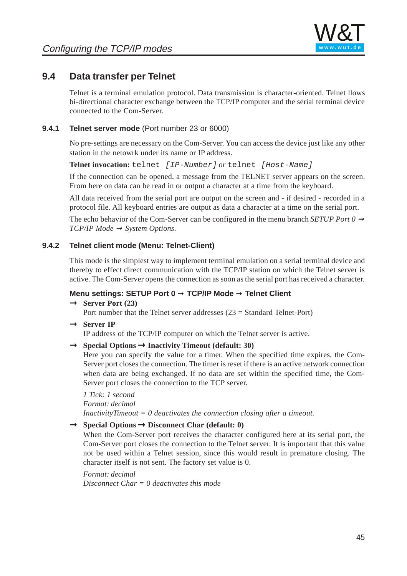# **9.4 Data transfer per Telnet**

Telnet is a terminal emulation protocol. Data transmission is character-oriented. Telnet llows bi-directional character exchange between the TCP/IP computer and the serial terminal device connected to the Com-Server.

### **9.4.1 Telnet server mode** (Port number 23 or 6000)

No pre-settings are necessary on the Com-Server. You can access the device just like any other station in the netowrk under its name or IP address.

**Telnet invocation:** telnet [IP-Number] *or* telnet [Host-Name]

If the connection can be opened, a message from the TELNET server appears on the screen. From here on data can be read in or output a ch[aracter at a tim](http://www.wut.de)e from the keyboard.

All data received from the serial port are output on the screen and - if desired - recorded in a protocol file. All keyboard entries are output as data a character at a time on the serial port.

The echo behavior of the Com-Server can be configured in the menu branch *SETUP Port 0*  $\rightarrow$ *TCP/IP Mode* ➞ *System Options*.

### **9.4.2 Telnet client mode (Menu: Telnet-Client)**

This mode is the simplest way to implement terminal emulation on a serial terminal device and thereby to effect direct communication with the TCP/IP station on which the Telnet server is active. The Com-Server opens the connection as soon as the serial port has received a character.

### **Menu settings: SETUP Port 0** ➞ **TCP/IP Mode** ➞ **Telnet Client**

# $\rightarrow$  **Server Port (23)**

Port number that the Telnet server addresses (23 = Standard Telnet-Port)

 $\rightarrow$  **Server IP** 

IP address of the TCP/IP computer on which the Telnet server is active.

# Þ **Special Options** Þ **Inactivity Timeout (default: 30)**

Here you can specify the value for a timer. When the specified time expires, the Com-Server port closes the connection. The timer is reset if there is an active network connection when data are being exchanged. If no data are set within the specified time, the Com-Server port closes the connection to the TCP server.

*1 Tick: 1 second Format: decimal InactivityTimeout = 0 deactivates the connection closing after a timeout.*

# Þ **Special Options** Þ **Disconnect Char (default: 0)**

When the Com-Server port receives the character configured here at its serial port, the Com-Server port closes the connection to the Telnet server. It is important that this value not be used within a Telnet session, since this would result in premature closing. The character itself is not sent. The factory set value is 0.

*Format: decimal Disconnect Char = 0 deactivates this mode*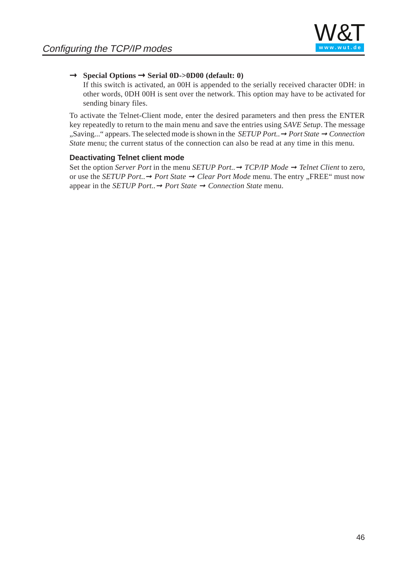

# Þ **Special Options** Þ **Serial 0D->0D00 (default: 0)**

If this switch is activated, an 00H is appended to the serially received character 0DH: in other words, 0DH 00H is sent over the network. This option may have to be activated for sending binary files.

To activate the Telnet-Client mode, enter the desired parameters and then press the ENTER key repeatedly to return to the main menu and save the entries using *SAVE Setup*. The message "Saving..." appears. The selected mode is shown in the *SETUP Port..*➞ *Port State* ➞ *Connection State* menu; the current status of the connection can also be read at any time in this menu.

#### **Deactivating Telnet client mode**

Set the option *Server Port* in the menu *SETUP Port..*➞ *TCP/IP Mode* ➞ *Telnet Client* to zero, or use the *SETUP Port..*➞ *Port State* ➞ *Clear Port Mode* menu. The entry "FREE" must now appear in the *SETUP Port..*➞ *Port State* ➞ *Co[nnection State](http://www.wut.de)* menu.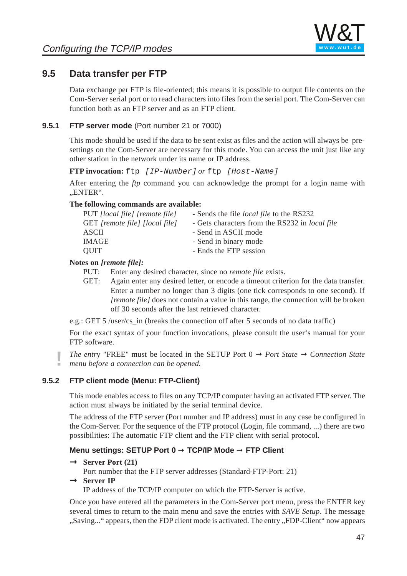# **9.5 Data transfer per FTP**

Data exchange per FTP is file-oriented; this means it is possible to output file contents on the Com-Server serial port or to read characters into files from the serial port. The Com-Server can function both as an FTP server and as an FTP client.

### **9.5.1 FTP server mode** (Port number 21 or 7000)

This mode should be used if the data to be sent exist as files and the action will always be presettings on the Com-Server are necessary for this mode. You can access the unit just like any other station in the network under its name or IP address.

**FTP invocation:** ftp [IP-Number] *or* ftp [Host-Name]

After entering the *ftp* command you can ack[nowledge the](http://www.wut.de) prompt for a login name with .ENTER".

#### **The following commands are available:**

| PUT <i>[local file]</i> [remote file] | - Sends the file <i>local file</i> to the RS232 |
|---------------------------------------|-------------------------------------------------|
| GET [remote file] [local file]        | - Gets characters from the RS232 in local file  |
| ASCII                                 | - Send in ASCII mode                            |
| IMAGE                                 | - Send in binary mode                           |
| QUIT                                  | - Ends the FTP session                          |

#### **Notes on** *[remote file]:*

- PUT: Enter any desired character, since no *remote file* exists.
- GET: Again enter any desired letter, or encode a timeout criterion for the data transfer. Enter a number no longer than 3 digits (one tick corresponds to one second). If *<u>Iremote file]* does not contain a value in this range, the connection will be broken</u> off 30 seconds after the last retrieved character.

e.g.: GET 5 /user/cs\_in (breaks the connection off after 5 seconds of no data traffic)

For the exact syntax of your function invocations, please consult the user's manual for your FTP software.

*The entry* "FREE" must be located in the SETUP Port  $0 \rightarrow$  *Port State*  $\rightarrow$  *Connection State menu before a connection can be opened.*

### **9.5.2 FTP client mode (Menu: FTP-Client)**

This mode enables access to files on any TCP/IP computer having an activated FTP server. The action must always be initiated by the serial terminal device.

The address of the FTP server (Port number and IP address) must in any case be configured in the Com-Server. For the sequence of the FTP protocol (Login, file command, ...) there are two possibilities: The automatic FTP client and the FTP client with serial protocol.

### **Menu settings: SETUP Port 0** ➞ **TCP/IP Mode** ➞ **FTP Client**

 $\rightarrow$  **Server Port (21)** 

Port number that the FTP server addresses (Standard-FTP-Port: 21)

# $\rightarrow$  **Server IP**

IP address of the TCP/IP computer on which the FTP-Server is active.

Once you have entered all the parameters in the Com-Server port menu, press the ENTER key several times to return to the main menu and save the entries with *SAVE Setup*. The message "Saving..." appears, then the FDP client mode is activated. The entry "FDP-Client" now appears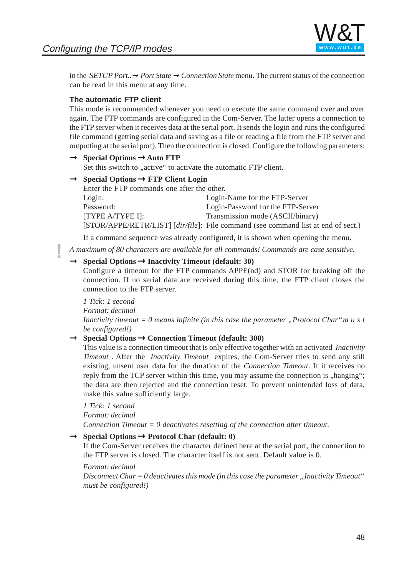

in the *SETUP Port..*➞ *Port State* ➞ *Connection State* menu. The current status of the connection can be read in this menu at any time.

#### **The automatic FTP client**

This mode is recommended whenever you need to execute the same command over and over again. The FTP commands are configured in the Com-Server. The latter opens a connection to the FTP server when it receives data at the serial port. It sends the login and runs the configured file command (getting serial data and saving as a file or reading a file from the FTP server and outputting at the serial port). Then the connection is closed. Configure the following parameters:

# Þ **Special Options** Þ **Auto FTP**

Set this switch to "active" to activate the automatic FTP client.

# Þ **Special Options** Þ **FTP Client Login**

| Enter the FTP commands one after the other. |                                                                                   |
|---------------------------------------------|-----------------------------------------------------------------------------------|
| Login:                                      | Login-Name for the FTP-Server                                                     |
| Password:                                   | Login-Password for the FTP-Server                                                 |
| [TYPE A/TYPE I]:                            | Transmission mode (ASCII/binary)                                                  |
|                                             | [STOR/APPE/RETR/LIST] [dir/file]: File command (see command list at end of sect.) |

If a command sequence was already configured, it is shown when opening the menu.

**!** *A maximum of 80 characters are available for all commands! Commands are case sensitive.*

# Þ **Special Options** Þ **Inactivity Timeout (default: 30)**

Configure a timeout for the FTP commands APPE(nd) and STOR for breaking off the connection. If no serial data are received during this time, the FTP client closes the connection to the FTP server.

*1 Tick: 1 second*

*Format: decimal*

*Inactivity timeout = 0 means infinite (in this case the parameter "Protocol Char"must be configured!)*

# Þ **Special Options** Þ **Connection Timeout (default: 300)**

This value is a connection timeout that is only effective together with an activated *Inactivity Timeout* . After the *Inactivity Timeout* expires, the Com-Server tries to send any still existing, unsent user data for the duration of the *Connection Timeout*. If it receives no reply from the TCP server within this time, you may assume the connection is "hanging"; the data are then rejected and the connection reset. To prevent unintended loss of data, make this value sufficiently large.

#### *1 Tick: 1 second*

*Format: decimal*

*Connection Timeout = 0 deactivates resetting of the connection after timeout.*

# Þ **Special Options** Þ **Protocol Char (default: 0)**

If the Com-Server receives the character defined here at the serial port, the connection to the FTP server is closed. The character itself is not sent. Default value is 0.

#### *Format: decimal*

*Disconnect Char = 0 deactivates this mode (in this case the parameter "Inactivity Timeout" must be configured!)*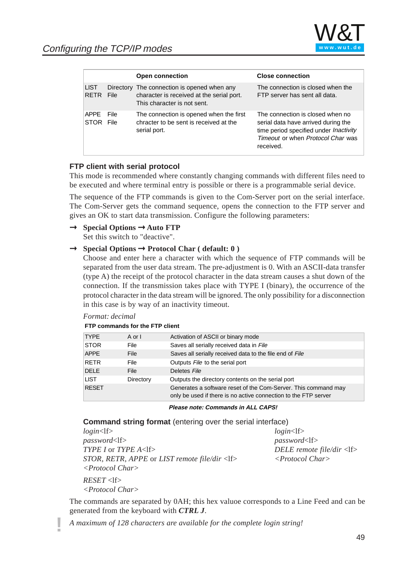|                            |              | <b>Open connection</b>                                                                                                  | <b>Close connection</b>                                                                                                                                             |
|----------------------------|--------------|-------------------------------------------------------------------------------------------------------------------------|---------------------------------------------------------------------------------------------------------------------------------------------------------------------|
| <b>LIST</b><br><b>RETR</b> | File         | Directory The connection is opened when any<br>character is received at the serial port.<br>This character is not sent. | The connection is closed when the<br>FTP server has sent all data.                                                                                                  |
| <b>APPE</b><br><b>STOR</b> | File<br>File | The connection is opened when the first<br>chracter to be sent is received at the<br>serial port.                       | The connection is closed when no<br>serial data have arrived during the<br>time period specified under Inactivity<br>Timeout or when Protocol Char was<br>received. |

#### **FTP client with serial protocol**

This mode is recommended where constantly changing commands with different files need to be executed and where terminal entry is possib[le or there is a](http://www.wut.de) programmable serial device.

The sequence of the FTP commands is given to the Com-Server port on the serial interface. The Com-Server gets the command sequence, opens the connection to the FTP server and gives an OK to start data transmission. Configure the following parameters:

Þ **Special Options** Þ **Auto FTP**

Set this switch to "deactive".

# Þ **Special Options** Þ **Protocol Char ( default: 0 )**

Choose and enter here a character with which the sequence of FTP commands will be separated from the user data stream. The pre-adjustment is 0. With an ASCII-data transfer (type A) the receipt of the protocol character in the data stream causes a shut down of the connection. If the transmission takes place with TYPE I (binary), the occurrence of the protocol character in the data stream will be ignored. The only possibility for a disconnection in this case is by way of an inactivity timeout.

#### *Format: decimal*

| <b>TYPE</b>  | A or I    | Activation of ASCII or binary mode                                                                                                |
|--------------|-----------|-----------------------------------------------------------------------------------------------------------------------------------|
| <b>STOR</b>  | File      | Saves all serially received data in File                                                                                          |
| <b>APPE</b>  | File      | Saves all serially received data to the file end of File                                                                          |
| RETR         | File      | Outputs File to the serial port                                                                                                   |
| <b>DELE</b>  | File      | Deletes File                                                                                                                      |
| LIST         | Directory | Outputs the directory contents on the serial port                                                                                 |
| <b>RESET</b> |           | Generates a software reset of the Com-Server. This command may<br>only be used if there is no active connection to the FTP server |
|              |           |                                                                                                                                   |

#### **FTP commands for the FTP client**

**Please note: Commands in ALL CAPS!**

**Command string format** (entering over the serial interface)

*login*<lf> *login*<lf> password<lf> *password*<lf> *TYPE I* or *TYPE A*<lf> *DELE remote file/dir* <lf> *STOR*, *RETR*, *APPE* or *LIST remote file/dir* <lf> *<Protocol Char> <Protocol Char>*  $RESET <$ *<Protocol Char>*

The commands are separated by 0AH; this hex valuoe corresponds to a Line Feed and can be generated from the keyboard with *CTRL J*.

**!** *A maximum of 128 characters are available for the complete login string!*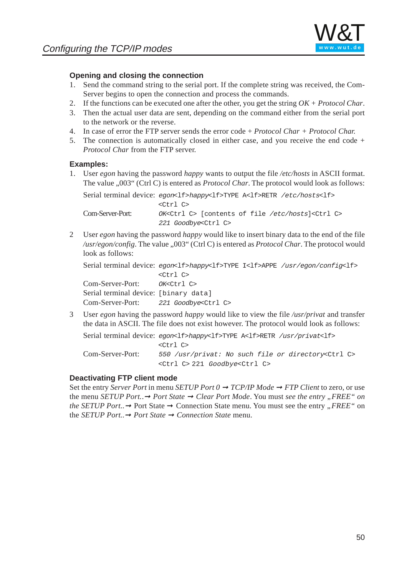

#### **Opening and closing the connection**

- 1. Send the command string to the serial port. If the complete string was received, the Com-Server begins to open the connection and process the commands.
- 2. If the functions can be executed one after the other, you get the string *OK* + *Protocol Char*.
- 3. Then the actual user data are sent, depending on the command either from the serial port to the network or the reverse.
- 4. In case of error the FTP server sends the error code + *Protocol Char + Protocol Char.*
- 5. The connection is automatically closed in either case, and you receive the end code + *Protocol Char* from the FTP server.

#### **Examples:**

1. User *egon* having the password *happy* wants to output the file */etc/hosts* in ASCII format. The value "003" (Ctrl C) is entered as *Protocol Char*. The protocol would look as follows:

Serial terminal device: egon<lf>happy<lf[>TYPE A<lf>](http://www.wut.de)RETR /etc/hosts<lf> <Ctrl C> Com-Server-Port: OK<Ctrl C> [contents of file /etc/hosts]<Ctrl C> 221 Goodbye<Ctrl C>

2 User *egon* having the password *happy* would like to insert binary data to the end of the file /usr/egon/config. The value "003" (Ctrl C) is entered as *Protocol Char*. The protocol would look as follows:

Serial terminal device: egon<lf>happy<lf>TYPE I<lf>APPE /usr/egon/config<lf> <Ctrl C> Com-Server-Port: OK<Ctrl C> Serial terminal device: [binary data] Com-Server-Port: 221 Goodbye<Ctrl C>

3 User *egon* having the password *happy* would like to view the file */usr/privat* and transfer the data in ASCII. The file does not exist however. The protocol would look as follows:

Serial terminal device:  $eqon<1f>happy<1f>TYPE$  A<lf>RETR /usr/privat<lf> <Ctrl C> Com-Server-Port: 550 /usr/privat: No such file or directory<Ctrl C> <Ctrl C> 221 Goodbye<Ctrl C>

#### **Deactivating FTP client mode**

Set the entry *Server Port* in menu *SETUP Port 0 → TCP/IP Mode* → *FTP Client* to zero, or use the menu *SETUP Port.*.➞ *Port State* ➞ *Clear Port Mode*. You must *see the entry "FREE" on the SETUP Port.* → Port State → Connection State menu. You must see the entry "*FREE*" on the *SETUP Port..*➞ *Port State* ➞ *Connection State* menu.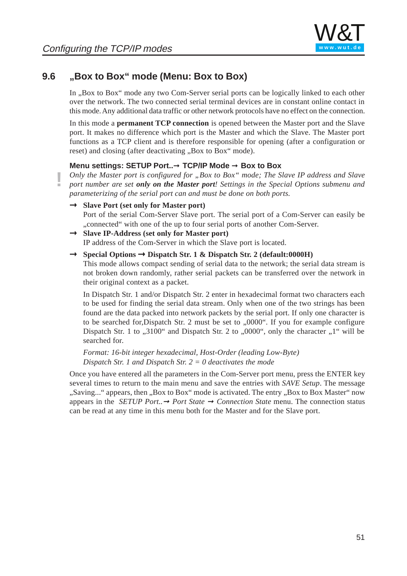

## **9.6 "Box to Box" mode (Menu: Box to Box)**

In , Box to Box" mode any two Com-Server serial ports can be logically linked to each other over the network. The two connected serial terminal devices are in constant online contact in this mode. Any additional data traffic or other network protocols have no effect on the connection.

In this mode a **permanent TCP connection** is opened between the Master port and the Slave port. It makes no difference which port is the Master and which the Slave. The Master port functions as a TCP client and is therefore responsible for opening (after a configuration or reset) and closing (after deactivating "Box to Box" mode).

#### **Menu settings: SETUP Port..**➞ **TCP/IP Mode** ➞ **Box to Box**

*Only the Master port is configured for "Box to Box" mode; The Slave IP address and Slave port number are set only on the Master port! [Settings in th](http://www.wut.de)e Special Options submenu and parameterizing of the serial port can and must be done on both ports.*

- Þ **Slave Port (set only for Master port)** Port of the serial Com-Server Slave port. The serial port of a Com-Server can easily be ...connected" with one of the up to four serial ports of another Com-Server.
- Þ **Slave IP-Address (set only for Master port)** IP address of the Com-Server in which the Slave port is located.
- Þ **Special Options** Þ **Dispatch Str. 1 & Dispatch Str. 2 (default:0000H)**

This mode allows compact sending of serial data to the network; the serial data stream is not broken down randomly, rather serial packets can be transferred over the network in their original context as a packet.

In Dispatch Str. 1 and/or Dispatch Str. 2 enter in hexadecimal format two characters each to be used for finding the serial data stream. Only when one of the two strings has been found are the data packed into network packets by the serial port. If only one character is to be searched for, Dispatch Str. 2 must be set to  $0.0000$ . If you for example configure Dispatch Str. 1 to  $0.3100$ " and Dispatch Str. 2 to  $0.0000$ ", only the character  $0.1$ " will be searched for.

*Format: 16-bit integer hexadecimal, Host-Order (leading Low-Byte) Dispatch Str. 1 and Dispatch Str. 2 = 0 deactivates the mode*

Once you have entered all the parameters in the Com-Server port menu, press the ENTER key several times to return to the main menu and save the entries with *SAVE Setup*. The message "Saving..." appears, then "Box to Box" mode is activated. The entry "Box to Box Master" now appears in the *SETUP Port..*➞ *Port State* ➞ *Connection State* menu. The connection status can be read at any time in this menu both for the Master and for the Slave port.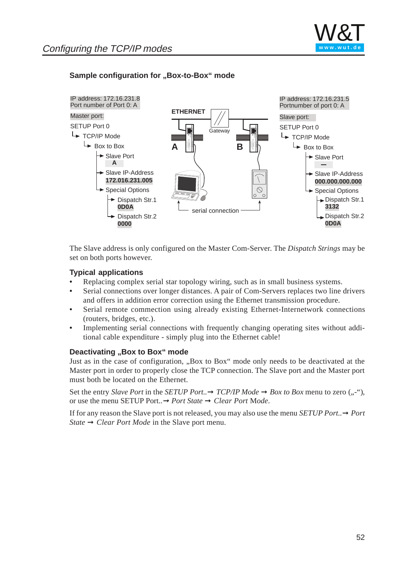### **Sample configuration for "Box-to-Box" mode**



The Slave address is only configured on the Master Com-Server. The *Dispatch Strings* may be set on both ports however.

### **Typical applications**

- **•** Replacing complex serial star topology wiring, such as in small business systems.
- **•** Serial connections over longer distances. A pair of Com-Servers replaces two line drivers and offers in addition error correction using the Ethernet transmission procedure.
- **•** Serial remote commection using already existing Ethernet-Internetwork connections (routers, bridges, etc.).
- **•** Implementing serial connections with frequently changing operating sites without additional cable expenditure - simply plug into the Ethernet cable!

#### **Deactivating "Box to Box" mode**

Just as in the case of configuration, "Box to Box" mode only needs to be deactivated at the Master port in order to properly close the TCP connection. The Slave port and the Master port must both be located on the Ethernet.

Set the entry *Slave Port* in the *SETUP Port*..  $\rightarrow$  *TCP/IP Mode*  $\rightarrow$  *Box to Box* menu to zero (,,-"), or use the menu SETUP Port..➞ *Port State* ➞ *Clear Port* M*ode*.

If for any reason the Slave port is not released, you may also use the menu *SETUP Port*.. $\rightarrow$  *Port State* → *Clear Port Mode* in the Slave port menu.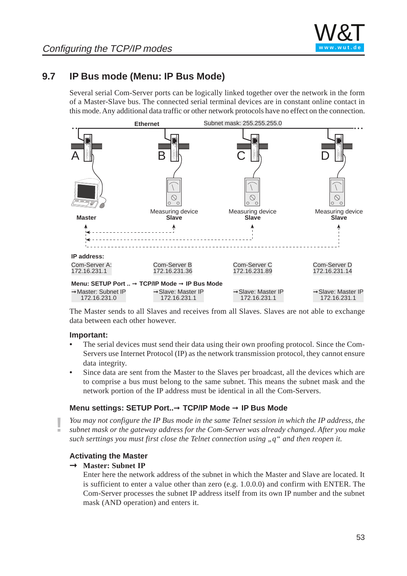

# **9.7 IP Bus mode (Menu: IP Bus Mode)**

Several serial Com-Server ports can be logically linked together over the network in the form of a Master-Slave bus. The connected serial terminal devices are in constant online contact in this mode. Any additional data traffic or other network protocols have no effect on the connection.



The Master sends to all Slaves and receives from all Slaves. Slaves are not able to exchange data between each other however.

#### **Important:**

- **•** The serial devices must send their data using their own proofing protocol. Since the Com-Servers use Internet Protocol (IP) as the network transmission protocol, they cannot ensure data integrity.
- **•** Since data are sent from the Master to the Slaves per broadcast, all the devices which are to comprise a bus must belong to the same subnet. This means the subnet mask and the network portion of the IP address must be identical in all the Com-Servers.

#### **Menu settings: SETUP Port..**➞ **TCP/IP Mode** ➞ **IP Bus Mode**

**!** *You may not configure the IP Bus mode in the same Telnet session in which the IP address, the subnet mask or the gateway address for the Com-Server was already changed. After you make such serttings you must first close the Telnet connection using "q" and then reopen it.*

#### **Activating the Master**

# Þ **Master: Subnet IP**

Enter here the network address of the subnet in which the Master and Slave are located. It is sufficient to enter a value other than zero (e.g. 1.0.0.0) and confirm with ENTER. The Com-Server processes the subnet IP address itself from its own IP number and the subnet mask (AND operation) and enters it.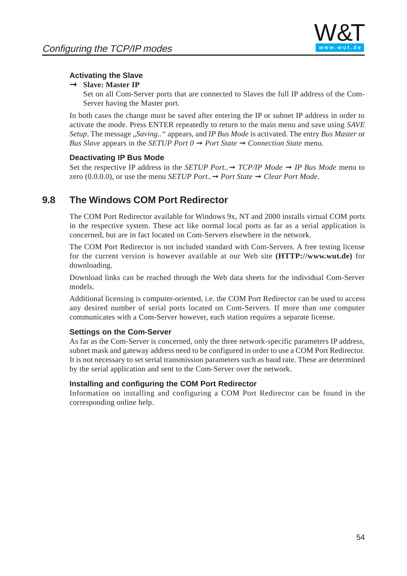

### **Activating the Slave**

# Þ **Slave: Master IP**

Set on all Com-Server ports that are connected to Slaves the full IP address of the Com-Server having the Master port.

In both cases the change must be saved after entering the IP or subnet IP address in order to activate the mode. Press ENTER repeatedly to return to the main menu and save using *SAVE Setup*. The message "*Saving.."* appears, and *IP Bus Mode* is activated. The entry *Bus Master* or *Bus Slave* appears in the *SETUP Port*  $0 \rightarrow$  *Port State*  $\rightarrow$  *Connection State* menu.

### **Deactivating IP Bus Mode**

Set the respective IP address in the *SETUP Port*..  $\rightarrow$  *TCP/IP Mode*  $\rightarrow$  *IP Bus Mode* menu to zero  $(0.0.0.0)$ , or use the menu *SETUP Port*..  $\rightarrow$  *Port State*  $\rightarrow$  *Clear Port Mode.* 

# **9.8 The Windows COM Port Redirect[or](http://www.wut.de)**

The COM Port Redirector available for Windows 9x, NT and 2000 installs virtual COM ports in the respective system. These act like normal local ports as far as a serial application is concerned, but are in fact located on Com-Servers elsewhere in the network.

The COM Port Redirector is not included standard with Com-Servers. A free testing license for the current version is however available at our Web site **(HTTP://www.wut.de)** for downloading.

Download links can be reached through the Web data sheets for the individual Com-Server models.

Additional licensing is computer-oriented, i.e. the COM Port Redirector can be used to access any desired number of serial ports located on Com-Servers. If more than one computer communicates with a Com-Server however, each station requires a separate license.

### **Settings on the Com-Server**

As far as the Com-Server is concerned, only the three network-specific parameters IP address, subnet mask and gateway address need t[o be configured in](http://www.wut.de) order to use a COM Port Redirector. It is not necessary to set serial transmission parameters such as baud rate. These are determined by the serial application and sent to the Com-Server over the network.

### **Installing and configuring the COM Port Redirector**

Information on installing and configuring a COM Port Redirector can be found in the corresponding online help.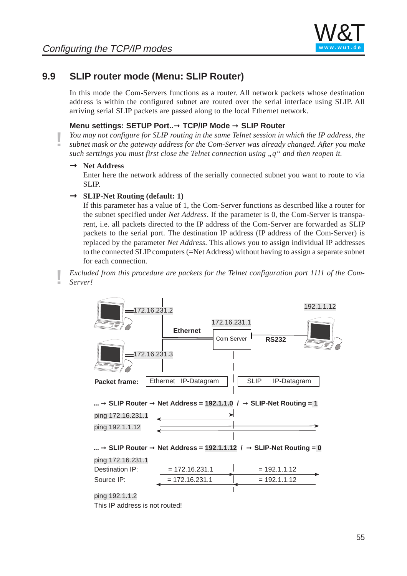

### **9.9 SLIP router mode (Menu: SLIP Router)**

In this mode the Com-Servers functions as a router. All network packets whose destination address is within the configured subnet are routed over the serial interface using SLIP. All arriving serial SLIP packets are passed along to the local Ethernet network.

#### **Menu settings: SETUP Port..**➞ **TCP/IP Mode** ➞ **SLIP Router**

**!** *You may not configure for SLIP routing in the same Telnet session in which the IP address, the subnet mask or the gateway address for the Com-Server was already changed. After you make such serttings you must first close the Telnet connection using "q" and then reopen it.*

# Þ **Net Address**

Enter here the network address of the serially connected subnet you want to route to via SLIP.

# Þ **SLIP-Net Routing (default: 1)**

If this parameter has a value of 1, the Com[-Server functi](http://www.wut.de)ons as described like a router for the subnet specified under *Net Address*. If the parameter is 0, the Com-Server is transparent, i.e. all packets directed to the IP address of the Com-Server are forwarded as SLIP packets to the serial port. The destination IP address (IP address of the Com-Server) is replaced by the parameter *Net Address*. This allows you to assign individual IP addresses to the connected SLIP computers (=Net Address) without having to assign a separate subnet for each connection.

**!** *Excluded from this procedure are packets for the Telnet configuration port 1111 of the Com-Server!*



This IP address is not routed!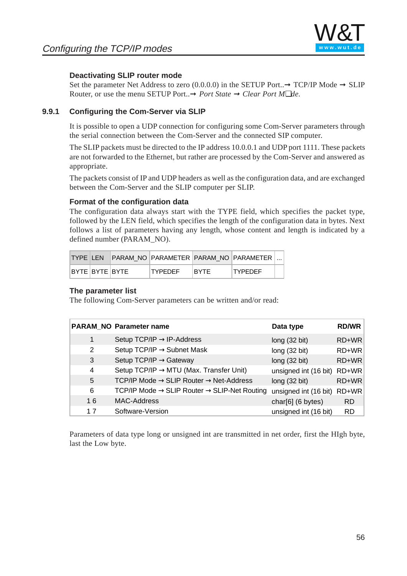

#### **Deactivating SLIP router mode**

Set the parameter Net Address to zero (0.0.0.0) in the SETUP Port.. $\rightarrow$  TCP/IP Mode  $\rightarrow$  SLIP Router, or use the menu SETUP Port..➞ *Port State* ➞ *Clear Port M*❏*de*.

#### **9.9.1 Configuring the Com-Server via SLIP**

It is possible to open a UDP connection for configuring some Com-Server parameters through the serial connection between the Com-Server and the connected SIP computer.

The SLIP packets must be directed to the IP address 10.0.0.1 and UDP port 1111. These packets are not forwarded to the Ethernet, but rather are processed by the Com-Server and answered as appropriate.

The packets consist of IP and UDP headers as well as the configuration data, and are exchanged between the Com-Server and the SLIP comput[er per SLIP.](http://www.wut.de)

#### **Format of the configuration data**

The configuration data always start with the TYPE field, which specifies the packet type, followed by the LEN field, which specifies the length of the configuration data in bytes. Next follows a list of parameters having any length, whose content and length is indicated by a defined number (PARAM\_NO).

| <b>TYPE LEN</b>   |  |                |             | IPARAM NO IPARAMETER IPARAM NO IPARAMETER I |  |
|-------------------|--|----------------|-------------|---------------------------------------------|--|
| IBYTE IBYTE IBYTE |  | <b>TYPEDEF</b> | <b>BYTE</b> | <b>TYPEDEF</b>                              |  |

#### **The parameter list**

The following Com-Server parameters can be written and/or read:

|    | <b>PARAM_NO Parameter name</b>                                       | Data type             | <b>RD/WR</b> |
|----|----------------------------------------------------------------------|-----------------------|--------------|
| 1  | Setup TCP/IP $\rightarrow$ IP-Address                                | long(32 bit)          | RD+WR        |
| 2  | Setup TCP/IP $\rightarrow$ Subnet Mask                               | long(32 bit)          | RD+WR        |
| 3  | Setup TCP/IP $\rightarrow$ Gateway                                   | long(32 bit)          | RD+WR        |
| 4  | Setup TCP/IP $\rightarrow$ MTU (Max. Transfer Unit)                  | unsigned int (16 bit) | RD+WR        |
| 5  | TCP/IP Mode $\rightarrow$ SLIP Router $\rightarrow$ Net-Address      | long(32 bit)          | RD+WR        |
| 6  | TCP/IP Mode $\rightarrow$ SLIP Router $\rightarrow$ SLIP-Net Routing | unsigned int (16 bit) | RD+WR        |
| 16 | <b>MAC-Address</b>                                                   | char $[6]$ (6 bytes)  | RD.          |
| 17 | Software-Version                                                     | unsigned int (16 bit) | <b>RD</b>    |

Parameters of data type long or unsigned int are transmitted in net order, first the HIgh byte, last the Low byte.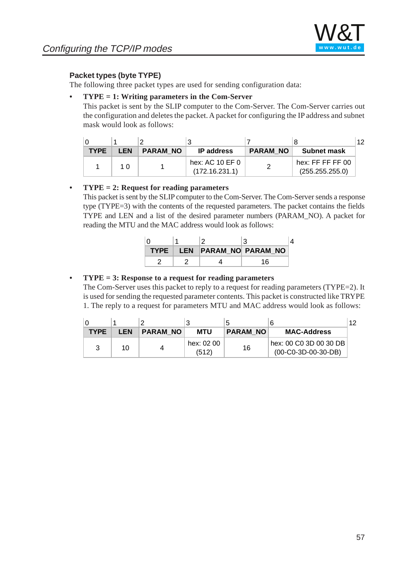

### **Packet types (byte TYPE)**

The following three packet types are used for sending configuration data:

#### **• TYPE = 1: Writing parameters in the Com-Server**

This packet is sent by the SLIP computer to the Com-Server. The Com-Server carries out the configuration and deletes the packet. A packet for configuring the IP address and subnet mask would look as follows:

|             |            |                 |                                   |                 |                                     | 12 |
|-------------|------------|-----------------|-----------------------------------|-----------------|-------------------------------------|----|
| <b>TYPE</b> | <b>LEN</b> | <b>PARAM NO</b> | <b>IP</b> address                 | <b>PARAM NO</b> | <b>Subnet mask</b>                  |    |
|             | 1 በ        |                 | hex: AC 10 EF 0<br>(172.16.231.1) |                 | hex: FF FF FF 00<br>(255.255.255.0) |    |

#### **• TYPE = 2: Request for reading parameters**

This packet is sent by the SLIP computer to th[e Com-Server.](http://www.wut.de) The Com-Server sends a response type (TYPE=3) with the contents of the requested parameters. The packet contains the fields TYPE and LEN and a list of the desired parameter numbers (PARAM\_NO). A packet for reading the MTU and the MAC address would look as follows:

| ∩ |  |                            |  |
|---|--|----------------------------|--|
|   |  | TYPE LEN PARAM NO PARAM NO |  |
|   |  | 16                         |  |

#### **• TYPE = 3: Response to a request for reading parameters**

The Com-Server uses this packet to reply to a request for reading parameters (TYPE=2). It is used for sending the requested parameter contents. This packet is constructed like TRYPE 1. The reply to a request for parameters MTU and MAC address would look as follows:

|             |            |          | າ                   | 5               |                                                 | 12 |
|-------------|------------|----------|---------------------|-----------------|-------------------------------------------------|----|
| <b>TYPE</b> | <b>LEN</b> | PARAM NO | <b>MTU</b>          | <b>PARAM NO</b> | <b>MAC-Address</b>                              |    |
|             | 10         |          | hex: 02 00<br>(512) | 16              | hex: 00 C0 3D 00 30 DB<br>$(00-C0-3D-00-30-DB)$ |    |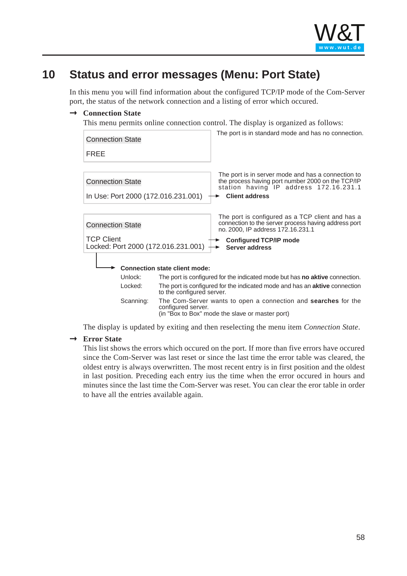

# **10 Status and error messages (Menu: Port State)**

In this menu you will find information about the configured TCP/IP mode of the Com-Server port, the status of the network connection and a listing of error which occured.

# Þ **Connection State**

This menu permits online connection control. The display is organized as follows:

| <b>Connection State</b>                                        |                                                                                                                                         | The port is in standard mode and has no connection.                                                                                                                        |  |  |  |
|----------------------------------------------------------------|-----------------------------------------------------------------------------------------------------------------------------------------|----------------------------------------------------------------------------------------------------------------------------------------------------------------------------|--|--|--|
| <b>FREE</b>                                                    |                                                                                                                                         |                                                                                                                                                                            |  |  |  |
| <b>Connection State</b><br>In Use: Port 2000 (172.016.231.001) |                                                                                                                                         | The port is in server mode and has a connection to<br>the process having port number 2000 on the TCP/IP<br>station having IP address 172.16.231.1<br><b>Client address</b> |  |  |  |
|                                                                |                                                                                                                                         |                                                                                                                                                                            |  |  |  |
| <b>Connection State</b>                                        |                                                                                                                                         | The port is configured as a TCP client and has a<br>connection to the server process having address port<br>no. 2000, IP address 172.16.231.1                              |  |  |  |
| <b>TCP Client</b><br>Locked: Port 2000 (172.016.231.001)       |                                                                                                                                         | <b>Configured TCP/IP mode</b><br>Server address                                                                                                                            |  |  |  |
|                                                                | <b>Connection state client mode:</b>                                                                                                    |                                                                                                                                                                            |  |  |  |
| Unlock:                                                        | The port is configured for the indicated mode but has <b>no aktive</b> connection.                                                      |                                                                                                                                                                            |  |  |  |
| Locked:                                                        | The port is configured for the indicated mode and has an <b>aktive</b> connection<br>to the configured server.                          |                                                                                                                                                                            |  |  |  |
| Scanning:                                                      | The Com-Server wants to open a connection and searches for the<br>configured server.<br>(in "Box to Box" mode the slave or master port) |                                                                                                                                                                            |  |  |  |

The display is updated by exiting and then reselecting the menu item *Connection State*.

# Þ **Error State**

This list shows the errors which occured on the port. If more than five errors have occured since the Com-Server was last reset or since the last time the error table was cleared, the oldest entry is always overwritten. The most recent entry is in first position and the oldest in last position. Preceding each entry ius the time when the error occured in hours and minutes since the last time the Com-Server was reset. You can clear the eror table in order to have all the entries available again.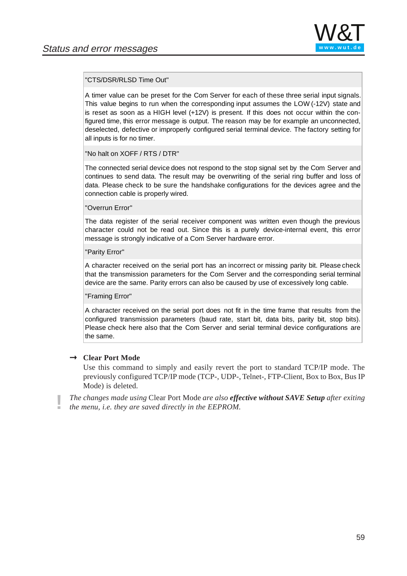

#### "CTS/DSR/RLSD Time Out"

A timer value can be preset for the Com Server for each of these three serial input signals. This value begins to run when the corresponding input assumes the LOW (-12V) state and is reset as soon as a HIGH level (+12V) is present. If this does not occur within the configured time, this error message is output. The reason may be for example an unconnected, deselected, defective or improperly configured serial terminal device. The factory setting for all inputs is for no timer.

"No halt on XOFF / RTS / DTR"

The connected serial device does not respond to the stop signal set by the Com Server and continues to send data. The result may be overwriting of the serial ring buffer and loss of data. Please check to be sure the handshake [configuratio](http://www.wut.de)ns for the devices agree and the connection cable is properly wired.

#### "Overrun Error"

The data register of the serial receiver component was written even though the previous character could not be read out. Since this is a purely device-internal event, this error message is strongly indicative of a Com Server hardware error.

#### "Parity Error"

A character received on the serial port has an incorrect or missing parity bit. Please check that the transmission parameters for the Com Server and the corresponding serial terminal device are the same. Parity errors can also be caused by use of excessively long cable.

#### "Framing Error"

A character received on the serial port does not fit in the time frame that results from the configured transmission parameters (baud rate, start bit, data bits, parity bit, stop bits). Please check here also that the Com Server and serial terminal device configurations are the same.

# Þ **Clear Port Mode**

Use this command to simply and easily revert the port to standard TCP/IP mode. The previously configured TCP/IP mode (TCP-, UDP-, Telnet-, FTP-Client, Box to Box, Bus IP Mode) is deleted.

**!** *The changes made using* Clear Port Mode *are also effective without SAVE Setup after exiting the menu, i.e. they are saved directly in the EEPROM.*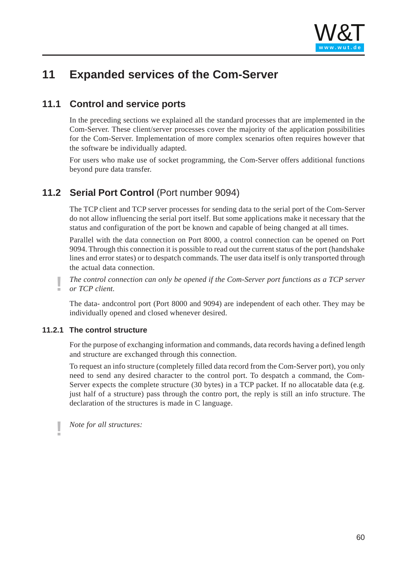

# **11 Expanded services of the Com-Server**

## **11.1 Control and service ports**

In the preceding sections we explained all the standard processes that are implemented in the Com-Server. These client/server processes cover the majority of the application possibilities for the Com-Server. Implementation of more complex scenarios often requires however that the software be individually adapted.

For users who make use of socket programming, the Com-Server offers additional functions beyond pure data transfer.

## **11.2 Serial Port Control** (Port number [9094\)](http://www.wut.de)

The TCP client and TCP server processes for sending data to the serial port of the Com-Server do not allow influencing the serial port itself. But some applications make it necessary that the status and configuration of the port be known and capable of being changed at all times.

Parallel with the data connection on Port 8000, a control connection can be opened on Port 9094. Through this connection it is possible to read out the current status of the port (handshake lines and error states) or to despatch commands. The user data itself is only transported through the actual data connection.

**!** *The control connection can only be opened if the Com-Server port functions as a TCP server or TCP client.*

The data- andcontrol port (Port 8000 and 9094) are independent of each other. They may be individually opened and closed whenever desired.

### **11.2.1 The control structure**

For the purpose of exchanging information and commands, data records having a defined length and structure are exchanged through this connection.

To request an info structure (completely filled data record from the Com-Server port), you only need to send any desired character to the control port. To despatch a command, the Com-Server expects the complete structure (30 bytes) in a TCP packet. If no allocatable data (e.g. just half of a structure) pass through the contro port, the reply is still an info structure. The declaration of the structures is made in C language.

**!** *Note for all structures:*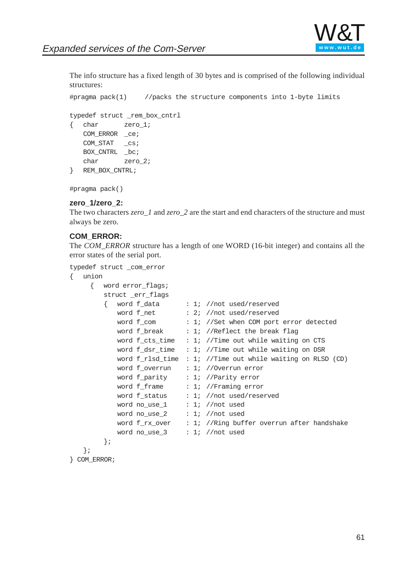

The info structure has a fixed length of 30 bytes and is comprised of the following individual structures:

```
#pragma pack(1) //packs the structure components into 1-byte limits
typedef struct _rem_box_cntrl
{ char zero_1;
   COM_ERROR _ce;
   COM_STAT _cs;
   BOX_CNTRL _bc;
   char zero_2;
} REM_BOX_CNTRL;
```
#pragma pack()

#### **zero\_1/zero\_2:**

The two characters *zero\_1* and *zero\_2* are the start and end characters of the structure and must always be zero.

#### **COM\_ERROR:**

The *COM\_ERROR* structure has a length of one WORD (16-bit integer) and contains all the error states of the serial port.

```
typedef struct _com_error
{ union
     { word error_flags;
        struct _err_flags
        { word f_data : 1; //not used/reserved
           word f net : 2; //not used/reserved
           word f_com : 1; //Set when COM port error detected
           word f_break : 1; //Reflect the break flag
           word f_cts_time : 1; //Time out while waiting on CTSword f_dsr_time : 1; //Time out while waiting on DSR
           word f rlsd time : 1; //Time out while waiting on RLSD (CD)
           word f_overrun : 1; //Overrun error
           word f_parity : 1; //Parity error
           word f_frame : 1; //Framing error
           word f_status : 1; //not used/reserved
           word no use 1 : 1; //not used
           word no_use_2 : 1; //not used
           word f_rrx_over : 1; //Ring buffer overrun after handshake
           word no use 3 : 1; //not used
        };
   };
```

```
} COM_ERROR;
```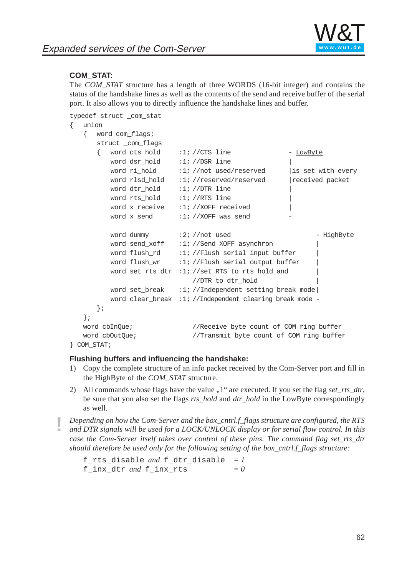

### **COM\_STAT:**

The *COM\_STAT* structure has a length of three WORDS (16-bit integer) and contains the status of the handshake lines as well as the contents of the send and receive buffer of the serial port. It also allows you to directly influence the handshake lines and buffer.

```
typedef struct _com_stat
```

```
{ union
```

```
{ word com_flags;
      struct _com_flags
      { word cts_hold :1; //CTS line - LowByte
         word dsr hold :1; //DSR line
         word ri hold \cdot 1; //not used/reserved | is set with every
         word rlsd_hold :1; //reserved/reserved | received packet
         word dtr_hold :1; //ine
         word rts_hold :1; //RTS line |
         word x receive :1; //XOFF received
         word x send :1; //XOFF was send
         word dummy :2; //not used - HighByte
         word send xoff :1; //Send XOFF asynchron
         word flush rd :1; //Flush serial input buffer
         word flush_wr :1; //Flush serial output buffer
         word set_rts_dtr :1; //set RTS to rts_hold and |
                            //DTR to dtr_hold |
         word set break :1; //Independent setting break mode
         word clear_break :1; //Independent clearing break mode -
      };
   };
   word cbInQue; //Receive byte count of COM ring buffer
   word cbOutQue; //Transmit byte count of COM ring buffer
} COM_STAT;
```
#### **Flushing buffers and influencing the handshake:**

- 1) Copy the complete structure of an info packet received by the Com-Server port and fill in the HighByte of the *COM\_STAT* structure.
- 2) All commands whose flags have the value "1" are executed. If you set the flag *set\_rts\_dtr*, be sure that you also set the flags *rts\_hold* and *dtr\_hold* in the LowByte correspondingly as well.

**!** *Depending on how the Com-Server and the box\_cntrl.f\_flags structure are configured, the RTS and DTR signals will be used for a LOCK/UNLOCK display or for serial flow control. In this case the Com-Server itself takes over control of these pins. The command flag set rts dtr should therefore be used only for the following setting of the box\_cntrl.f\_flags structure:*

```
f_rts_disable and f_dtr_disable = 1
f_{\text{mix}}dt r and f_{\text{mix}} rts = 0
```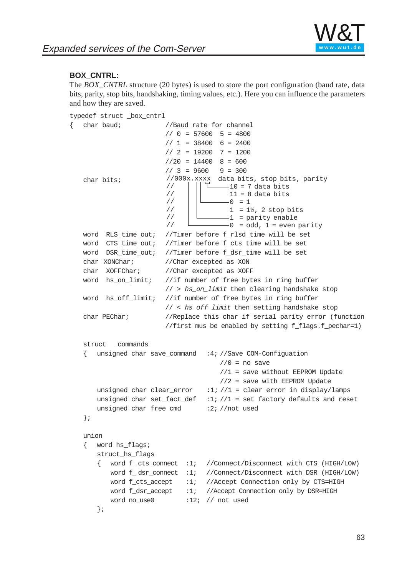

### **BOX\_CNTRL:**

The *BOX\_CNTRL* structure (20 bytes) is used to store the port configuration (baud rate, data bits, parity, stop bits, handshaking, timing values, etc.). Here you can influence the parameters and how they are saved.

```
typedef struct _box_cntrl
```

```
{ char baud; //Baud rate for channel
                        // 0 = 57600 5 = 4800// 1 = 38400 6 = 2400// 2 = 19200 7 = 1200
                        1/20 = 14400 8 = 600
                        1/3 = 9600 9 = 300
   char bits; \frac{1}{1000 \times 1000} //000x.xxxx data bits, stop bits, parity
                        //
                        //
                        //
                        //
                        //
                        //
                                       -10 = 7 data bits
                                       11 = 8 data bits
                                       -0 = 11 = 1\frac{1}{2}, 2 stop bits
                                        1 = parity enable
                                       -0 = odd, 1 = even parity
   word RLS_time_out; //Timer before f_rlsd_time will be set
   word CTS_time_out; //Timer before f_cts_time will be set
   word DSR_time_out; //Timer before f_dsr_time will be set
   char XONChar; //Char excepted as XON
   char XOFFChar; //Char excepted as XOFF
   word hs_on_limit; //if number of free bytes in ring buffer
                       // > hs_on_limit then clearing handshake stop
   word hs_off_limit; //if number of free bytes in ring buffer
                        // < hs_off_limit then setting handshake stop
   char PEChar; //Replace this char if serial parity error (function
                        //first mus be enabled by setting f flags.f pechar=1)
   struct _commands
      unsigned char save command :4; //Save COM-Configuation
                                      //0 = no save//1 = save without EEPROM Update
                                      //2 = save with EEPROM Update
      unsigned char clear_error :1; //1 = clear error in display/lamps
      unsigned char set_fact_def :1; //1 = set factory defaults and reset
      unsigned char free cmd :2; //not used
   };
   union
   { word hs_flags;
      struct hs flags
         word f_cts_connect :1; //Connect/Disconnect with CTS (HIGH/LOW)
          word f_ dsr_connect :1; //Connect/Disconnect with DSR (HIGH/LOW)
          word f cts accept :1; //Accept Connection only by CTS=HIGH
          word f dsr accept :1; //Accept Connection only by DSR=HIGH
          word no use0 :12; // not used
      };
```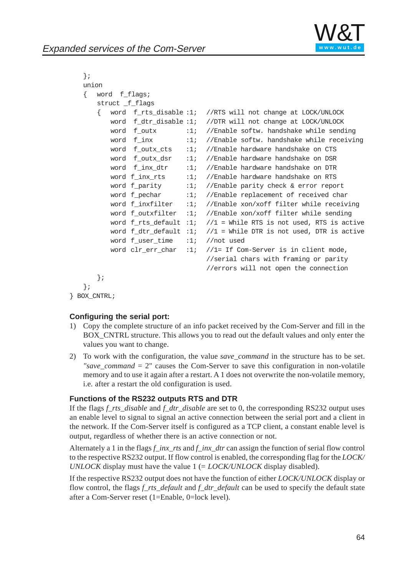

```
};
union
{ word f_flags;
   struct f flags
   { word f_rts_disable :1; //RTS will not change at LOCK/UNLOCK
      word f_dtr_disable :1; //DTR will not change at LOCK/UNLOCK
      word f_{outx} :1; //Enable softw. handshake while sending
      word f inx :1; //Enable softw. handshake while receiving
      word f_outx_cts :1; //Enable hardware handshake on CTS
      word f_outx_dsr :1; //Enable hardware handshake on DSR
      word f_inx_dtr :1; //Enable hardware handshake on DTR
      word f inx rts :1; //Enable hardware handshake on RTS
      word f parity :1;nable parity check & error report
      word f_pechar :1; //Enable replacement of received char
      word f_inxfilter :1; //Enable xon/xoff filter while receiving
      word f outxfilter :1; //Enable xon/xoff filter while sending
      word f rts default :1; //1 = While RTS is not used, RTS is active
      word f_dtr_d default :1; //1 = While DTR is not used, DTR is active
      word f_user_time :1; //not used
      word clr_err_char :1; //1= If Com-Server is in client mode,
                              //serial chars with framing or parity
                              //errors will not open the connection
   };
};
```

```
} BOX_CNTRL;
```
#### **Configuring the serial port:**

- 1) Copy the complete structure of an info packet received by the Com-Server and fill in the BOX\_CNTRL structure. This allows you to read out the default values and only enter the values you want to change.
- 2) To work with the configuration, the value *save\_command* in the structure has to be set. *"save\_command*  $= 2$ " causes the Com-Server to save this configuration in non-volatile memory and to use it again after a restart. A 1 does not overwrite the non-volatile memory, i.e. after a restart the old configuration is used.

#### **Functions of the RS232 outputs RTS and DTR**

If the flags f rts disable and f dtr disable are set to 0, the corresponding RS232 output uses an enable level to signal to signal an active connection between the serial port and a client in the network. If the Com-Server itself is configured as a TCP client, a constant enable level is output, regardless of whether there is an active connection or not.

Alternately a 1 in the flags *f\_inx\_rts* and *f\_inx\_dtr* can assign the function of serial flow control to the respective RS232 output. If flow control is enabled, the corresponding flag for the *LOCK/ UNLOCK* display must have the value 1 (= *LOCK/UNLOCK* display disabled).

If the respective RS232 output does not have the function of either *LOCK/UNLOCK* display or flow control, the flags *f\_rts\_default* and *f\_dtr\_default* can be used to specify the default state after a Com-Server reset (1=Enable, 0=lock level).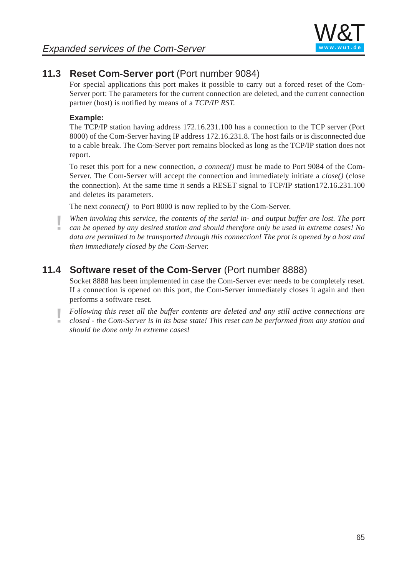

# **11.3 Reset Com-Server port** (Port number 9084)

For special applications this port makes it possible to carry out a forced reset of the Com-Server port: The parameters for the current connection are deleted, and the current connection partner (host) is notified by means of a *TCP/IP RST.*

### **Example:**

The TCP/IP station having address 172.16.231.100 has a connection to the TCP server (Port 8000) of the Com-Server having IP address 172.16.231.8. The host fails or is disconnected due to a cable break. The Com-Server port remains blocked as long as the TCP/IP station does not report.

To reset this port for a new connection, *a connect()* must be made to Port 9084 of the Com-Server. The Com-Server will accept the connection and immediately initiate a *close()* (close the connection). At the same time it sends a R[ESET signal t](http://www.wut.de)o TCP/IP station172.16.231.100 and deletes its parameters.

The next *connect()* to Port 8000 is now replied to by the Com-Server.

**!** *When invoking this service, the contents of the serial in- and output buffer are lost. The port can be opened by any desired station and should therefore only be used in extreme cases! No data are permitted to be transported through this connection! The prot is opened by a host and then immediately closed by the Com-Server.*

# **11.4 Software reset of the Com-Server** (Port number 8888)

Socket 8888 has been implemented in case the Com-Server ever needs to be completely reset. If a connection is opened on this port, the Com-Server immediately closes it again and then performs a software reset.

**!** *Following this reset all the buffer contents are deleted and any still active connections are*

*closed - the Com-Server is in its base state! This reset can be performed from any station and should be done only in extreme cases!*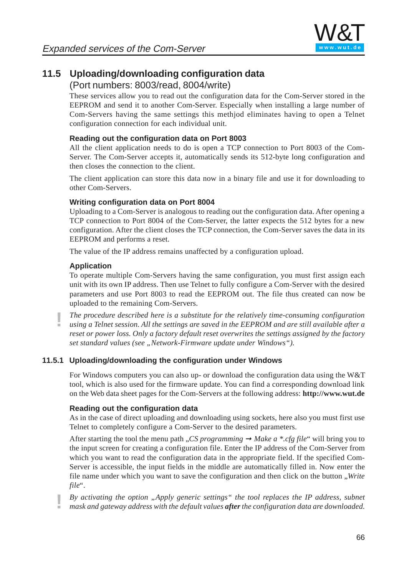

# **11.5 Uploading/downloading configuration data**

### (Port numbers: 8003/read, 8004/write)

These services allow you to read out the configuration data for the Com-Server stored in the EEPROM and send it to another Com-Server. Especially when installing a large number of Com-Servers having the same settings this methjod eliminates having to open a Telnet configuration connection for each individual unit.

### **Reading out the configuration data on Port 8003**

All the client application needs to do is open a TCP connection to Port 8003 of the Com-Server. The Com-Server accepts it, automatically sends its 512-byte long configuration and then closes the connection to the client.

The client application can store this data now [in a binary fil](http://www.wut.de)e and use it for downloading to other Com-Servers.

### **Writing configuration data on Port 8004**

Uploading to a Com-Server is analogous to reading out the configuration data. After opening a TCP connection to Port 8004 of the Com-Server, the latter expects the 512 bytes for a new configuration. After the client closes the TCP connection, the Com-Server saves the data in its EEPROM and performs a reset.

The value of the IP address remains unaffected by a configuration upload.

### **Application**

To operate multiple Com-Servers having the same configuration, you must first assign each unit with its own IP address. Then use Telnet to fully configure a Com-Server with the desired parameters and use Port 8003 to read the EEPROM out. The file thus created can now be uploaded to the remaining Com-Servers.

**!** *The procedure described here is a substitute for the relatively time-consuming configuration using a Telnet session. All the settings are saved in the EEPROM and are still available after a reset or power loss. Only a factory default reset overwrites the settings assigned by the factory set standard values (see "Network-Firmware update under Windows").* 

### **11.5.1 Uploading/downloading the configuration under Windows**

For Windows computers you can also up- or download the configuration data using the W&T tool, which is also used for the firmware update. You can find a corresponding download link on the Web data sheet pages for the Com-Servers at the following address: **http://www.wut.de**

### **Reading out the configuration data**

As in the case of direct uploading and downloading using sockets, here also you must first use Telnet to completely configure a Com-Server to the desired parameters.

After starting the tool the menu path *"CS programming*  $\rightarrow$  Make a \*.cfg file" will bring you to the input screen for creating a configuration fil[e. Enter the IP](http://www.wut.de) address of the Com-Server from which you want to read the configuration data in the appropriate field. If the specified Com-Server is accessible, the input fields in the middle are automatically filled in. Now enter the file name under which you want to save the configuration and then click on the button "*Write file*".

**!** *By activating the option "Apply generic settings" the tool replaces the IP address, subnet mask and gateway address with the default values after the configuration data are downloaded.*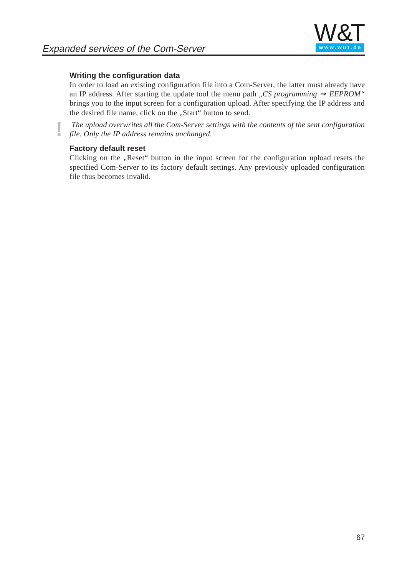

#### **Writing the configuration data**

In order to load an existing configuration file into a Com-Server, the latter must already have an IP address. After starting the update tool the menu path  $\alpha$ *, CS programming*  $\rightarrow$  *EEPROM*<sup>"</sup> brings you to the input screen for a configuration upload. After specifying the IP address and the desired file name, click on the "Start" button to send.

**!** *The upload overwrites all the Com-Server settings with the contents of the sent configuration file. Only the IP address remains unchanged.*

#### **Factory default reset**

Clicking on the "Reset" button in the input screen for the configuration upload resets the specified Com-Server to its factory default settings. Any previously uploaded configuration file thus becomes invalid.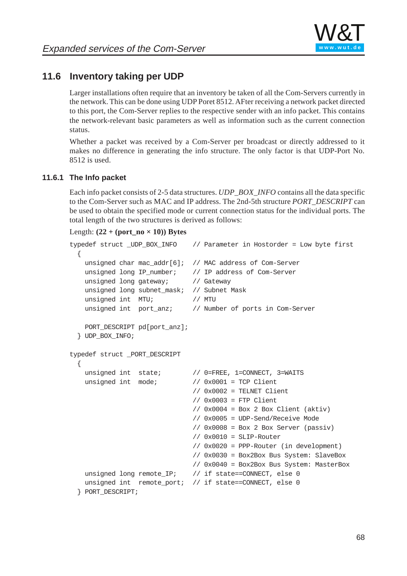

# **11.6 Inventory taking per UDP**

Larger installations often require that an inventory be taken of all the Com-Servers currently in the network. This can be done using UDP Poret 8512. AFter receiving a network packet directed to this port, the Com-Server replies to the respective sender with an info packet. This contains the network-relevant basic parameters as well as information such as the current connection status.

Whether a packet was received by a Com-Server per broadcast or directly addressed to it makes no difference in generating the info structure. The only factor is that UDP-Port No. 8512 is used.

#### **11.6.1 The Info packet**

Each info packet consists of 2-5 data structures. *[UDP\\_BOX\\_IN](http://www.wut.de)FO* contains all the data specific to the Com-Server such as MAC and IP address. The 2nd-5th structure *PORT\_DESCRIPT* can be used to obtain the specified mode or current connection status for the individual ports. The total length of the two structures is derived as follows:

#### Length:  $(22 + (port\ no \times 10))$  Bytes

```
typedef struct _UDP_BOX_INFO // Parameter in Hostorder = Low byte first
   {
    unsigned char mac_addr[6]; // MAC address of Com-Server
   unsigned long IP_number; // IP address of Com-Server
   unsigned long gateway; // Gateway
    unsigned long subnet_mask; // Subnet Mask
   unsigned int MTU; \sqrt{7} MTU
    unsigned int port_anz; // Number of ports in Com-Server
    PORT_DESCRIPT pd[port_anz];
   } UDP_BOX_INFO;
typedef struct _PORT_DESCRIPT
  {
   unsigned int state; \frac{1}{2} // 0=FREE, 1=CONNECT, 3=WAITS
   unsigned int mode; // 0x0001 = TCP Client// 0x0002 = TELNET Client
                               // 0x0003 = FTP Client
                               // 0x0004 = Box 2 Box Client (aktiv)// 0x0005 = UDP-Send/Receive Mode
                               // 0x0008 = Box 2 Box Server (passiv)
                               // 0x0010 = SLIP-Router
                               // 0x0020 = PPP-Router (in development)
                               // 0x0030 = Box2Box Bus System: SlaveBox
                               // 0x0040 = Box2Box Bus System: MasterBox
   unsigned long remote_IP; // if state==CONNECT, else 0
   unsigned int remote_port; // if state==CONNECT, else 0
   } PORT_DESCRIPT;
```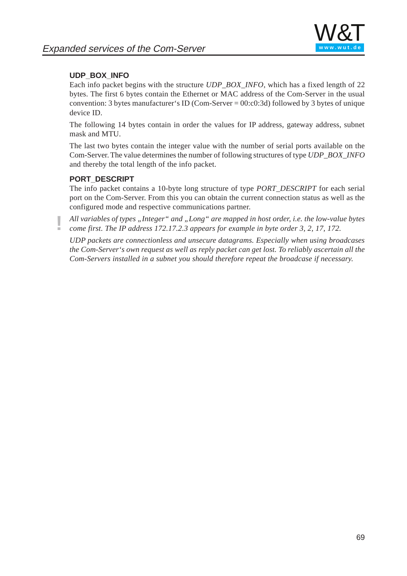### **UDP\_BOX\_INFO**

Each info packet begins with the structure *UDP\_BOX\_INFO*, which has a fixed length of 22 bytes. The first 6 bytes contain the Ethernet or MAC address of the Com-Server in the usual convention: 3 bytes manufacturer's ID (Com-Server = 00:c0:3d) followed by 3 bytes of unique device ID.

The following 14 bytes contain in order the values for IP address, gateway address, subnet mask and MTU.

The last two bytes contain the integer value with the number of serial ports available on the Com-Server. The value determines the number of following structures of type *UDP\_BOX\_INFO* and thereby the total length of the info packet.

#### **PORT\_DESCRIPT**

The info packet contains a 10-byte long structure of type *PORT\_DESCRIPT* for each serial port on the Com-Server. From this you can obt[ain the current](http://www.wut.de) connection status as well as the configured mode and respective communications partner.

All variables of types "Integer" and "Long" are mapped in host order, i.e. the low-value bytes *come first. The IP address 172.17.2.3 appears for example in byte order 3, 2, 17, 172.*

*UDP packets are connectionless and unsecure datagrams. Especially when using broadcases the Com-Server's own request as well as reply packet can get lost. To reliably ascertain all the Com-Servers installed in a subnet you should therefore repeat the broadcase if necessary.*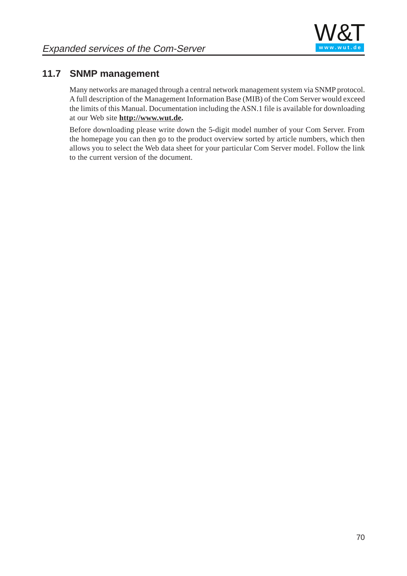

# **11.7 SNMP management**

Many networks are managed through a central network management system via SNMP protocol. A full description of the Management Information Base (MIB) of the Com Server would exceed the limits of this Manual. Documentation including the ASN.1 file is available for downloading at our Web site **http://www.wut.de.**

Before downloading please write down the 5-digit model number of your Com Server. From the homepage you can then go to the product overview sorted by article numbers, which then allows you to select the Web data sheet for your particular Com Server model. Follow the link to the current version of the document.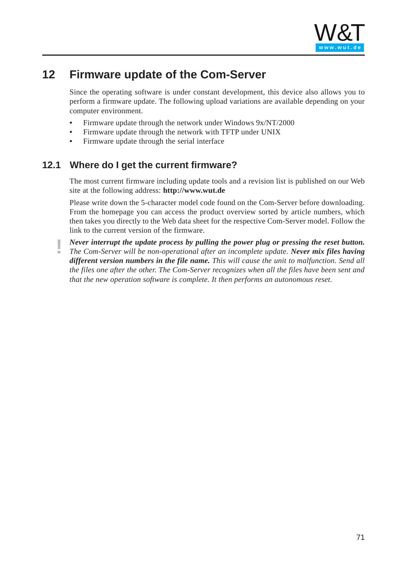

# **12 Firmware update of the Com-Server**

Since the operating software is under constant development, this device also allows you to perform a firmware update. The following upload variations are available depending on your computer environment.

- **•** Firmware update through the network under Windows 9x/NT/2000
- **•** Firmware update through the network with TFTP under UNIX
- **•** Firmware update through the serial interface

## **12.1 Where do I get the current firmware?**

The most current firmware including update tools and a revision list is published on our Web site at the following address: **http://www.wut.de**

Please write down the 5-character model code f[ound on the C](http://www.wut.de)om-Server before downloading. From the homepage you can access the product overview sorted by article numbers, which then takes you directly to the Web data sheet for the respective Com-Server model. Follow the link to the current version of the firmware.

**!** *Never interrupt the update process by pulling the power plug or pressing the reset button. The Com-Server will be non-operational after an incomplete update. Never mix files having different version numbers in the file name. This will cause the unit to malfunction. Send all the files one after the other. The Com-Server recognizes when all the files have been sent and that the new operation software is complete. It then performs an autonomous reset.*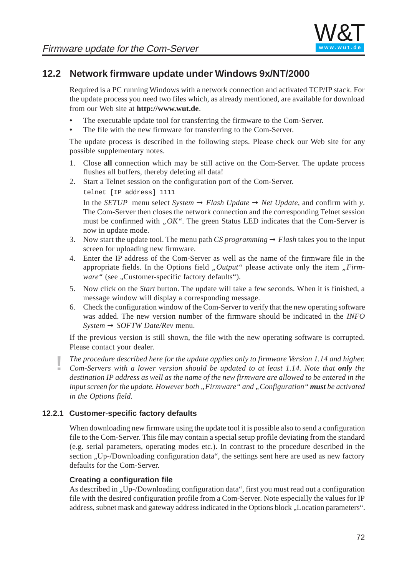# **12.2 Network firmware update under Windows 9x/NT/2000**

Required is a PC running Windows with a network connection and activated TCP/IP stack. For the update process you need two files which, as already mentioned, are available for download from our Web site at **http://www.wut.de**.

- **•** The executable update tool for transferring the firmware to the Com-Server.
- **•** The file with the new firmware for transferring to the Com-Server.

The update process is described in the following steps. Please check our Web site for any possible supplementary notes.

- 1. Close **all** connection which may be still active on the Com-Server. The update process flushes all buffers, thereby deleting all data!
- 2. Start a Telnet session on the configuration [port of the Co](http://www.wut.de)m-Server.

In the *SETUP* menu select *System*  $\rightarrow$  *Flash Update*  $\rightarrow$  *Net Update*, and confirm with *y*. The Com-Server then closes the network connection and the corresponding Telnet session must be confirmed with *"OK"*. The green Status LED indicates that the Com-Server is now in update mode.

- 3. Now start the update tool. The menu path *CS programming*  $\rightarrow$  *Flash* takes you to the input screen for u[ploading new](http://www.wut.de) firmware.
- 4. Enter the IP address of the Com-Server as well as the name of the firmware file in the appropriate fields. In the Options field "*Output*" please activate only the item "*Firmware* " (see , Customer-specific factory defaults").
- 5. Now click on the *Start* button. The update will take a few seconds. When it is finished, a message window will display a corresponding message.
- 6. Check the configuration window of the Com-Server to verify that the new operating software was added. The new version number of the firmware should be indicated in the *INFO System* ➞ *SOFTW Date/Rev* menu.

If the previous version is still shown, the file with the new operating software is corrupted. Please contact your dealer.

**!** *The procedure described here for the update applies only to firmware Version 1.14 and higher.*

*Com-Servers with a lower version should be updated to at least 1.14. Note that only the destination IP address as well as the name of the new firmware are allowed to be entered in the input screen for the update. However both "Firmware" and "Configuration" <i>must be activated in the Options field.*

### **12.2.1 Customer-specific factory defaults**

When downloading new firmware using the update tool it is possible also to send a configuration file to the Com-Server. This file may contain a special setup profile deviating from the standard (e.g. serial parameters, operating modes etc.). In contrast to the procedure described in the section "Up-/Downloading configuration data", the settings sent here are used as new factory defaults for the Com-Server.

### **Creating a configuration file**

As described in "Up-/Downloading configuration data", first you must read out a configuration file with the desired configuration profile from a Com-Server. Note especially the values for IP address, subnet mask and gateway address indicated in the Options block "Location parameters".

telnet [IP address] 1111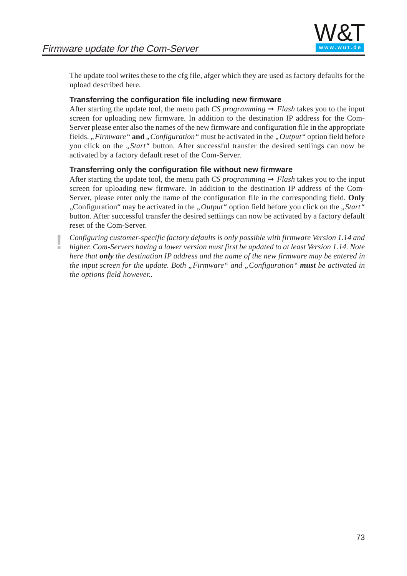

The update tool writes these to the cfg file, afger which they are used as factory defaults for the upload described here.

#### **Transferring the configuration file including new firmware**

After starting the update tool, the menu path *CS programming*  $\rightarrow$  *Flash* takes you to the input screen for uploading new firmware. In addition to the destination IP address for the Com-Server please enter also the names of the new firmware and configuration file in the appropriate fields. "*Firmware* " **and** "*Configuration* " must be activated in the "*Output* " option field before you click on the "*Start"* button. After successful transfer the desired settiings can now be activated by a factory default reset of the Com-Server.

#### **Transferring only the configuration file without new firmware**

After starting the update tool, the menu path *CS programming*  $\rightarrow$  *Flash* takes you to the input screen for uploading new firmware. In additi[on to the dest](http://www.wut.de)ination IP address of the Com-Server, please enter only the name of the configuration file in the corresponding field. **Only** "Configuration" may be activated in the *"Output"* option field before you click on the *"Start"* button. After successful transfer the desired settiings can now be activated by a factory default reset of the Com-Server.

**!** *Configuring customer-specific factory defaults is only possible with firmware Version 1.14 and higher. Com-Servers having a lower version must first be updated to at least Version 1.14. Note here that only the destination IP address and the name of the new firmware may be entered in the input screen for the update. Both "Firmware" and "Configuration" <i>must be activated in the options field however..*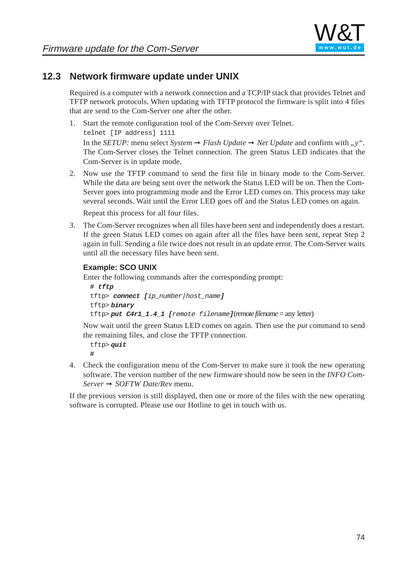

#### **12.3 Network firmware update under UNIX**

Required is a computer with a network connection and a TCP/IP stack that provides Telnet and TFTP network protocols. When updating with TFTP protocol the firmware is split into 4 files that are send to the Com-Server one after the other.

- 1. Start the remote configuration tool of the Com-Server over Telnet. telnet [IP address] 1111 In the *SETUP*: menu select *System*  $\rightarrow$  *Flash Update*  $\rightarrow$  *Net Update* and confirm with *"y"*. The Com-Server closes the Telnet connection. The green Status LED indicates that the Com-Server is in update mode.
- 2. Now use the TFTP command to send the first file in binary mode to the Com-Server. While the data are being sent over the network the Status LED will be on. Then the Com-Server goes into programming mode and th[e Error LED c](http://www.wut.de)omes on. This process may take several seconds. Wait until the Error LED goes off and the Status LED comes on again.

Repeat this process for all four files.

3. The Com-Server recognizes when all files have been sent and independently does a restart. If the green Status LED comes on again after all the files have been sent, repeat Step 2 again in full. Sending a file twice does not result in an update error. The Com-Server waits until all the necessary files have been sent.

#### **Example: SCO UNIX**

Enter the following commands after the corresponding prompt:

```
# tftp
tftp> connect [ip_number|host_name]
tftp> binary
tftp> put C4r1_1.4_1 [remote filename](remote filename = any letter)
```
Now wait until the green Status LED comes on again. Then use the *put* command to send the remaining files, and close the TFTP connection.

```
tftp> quit
#
```
4. Check the configuration menu of the Com-Server to make sure it took the new operating software. The version number of the new firmware should now be seen in the *INFO Com-Server* ➞ *SOFTW Date/Rev* menu.

If the previous version is still displayed, then one or more of the files with the new operating software is corrupted. Please use our Hotline to get in touch with us.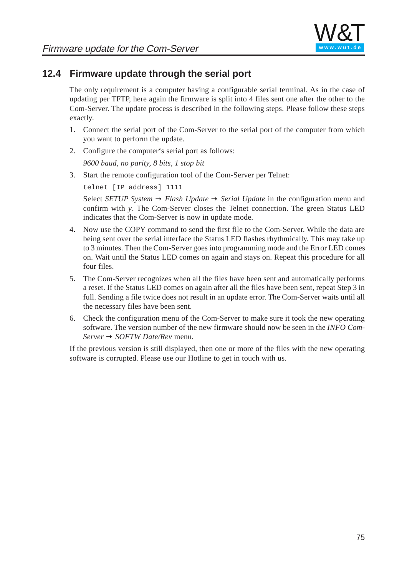

#### **12.4 Firmware update through the serial port**

The only requirement is a computer having a configurable serial terminal. As in the case of updating per TFTP, here again the firmware is split into 4 files sent one after the other to the Com-Server. The update process is described in the following steps. Please follow these steps exactly.

- 1. Connect the serial port of the Com-Server to the serial port of the computer from which you want to perform the update.
- 2. Configure the computer's serial port as follows:

*9600 baud, no parity, 8 bits, 1 stop bit*

3. Start the remote configuration tool of the Com-Server per Telnet:

telnet [IP address] 1111

Select *SETUP System* ➞ *Flash Update* ➞ *[Serial Updat](http://www.wut.de)e* in the configuration menu and confirm with *y*. The Com-Server closes the Telnet connection. The green Status LED indicates that the Com-Server is now in update mode.

- 4. Now use the COPY command to send the first file to the Com-Server. While the data are being sent over the serial interface the Status LED flashes rhythmically. This may take up to 3 minutes. Then the Com-Server goes into programming mode and the Error LED comes on. Wait until the Status LED comes on again and stays on. Repeat this procedure for all four files.
- 5. The Com-Server recognizes when all the files have been sent and automatically performs a reset. If the Status LED comes on again after all the files have been sent, repeat Step 3 in full. Sending a file twice does not result in an update error. The Com-Server waits until all the necessary files have been sent.
- 6. Check the configuration menu of the Com-Server to make sure it took the new operating software. The version number of the new firmware should now be seen in the *INFO Com-Server* ➞ *SOFTW Date/Rev* menu.

If the previous version is still displayed, then one or more of the files with the new operating software is corrupted. Please use our Hotline to get in touch with us.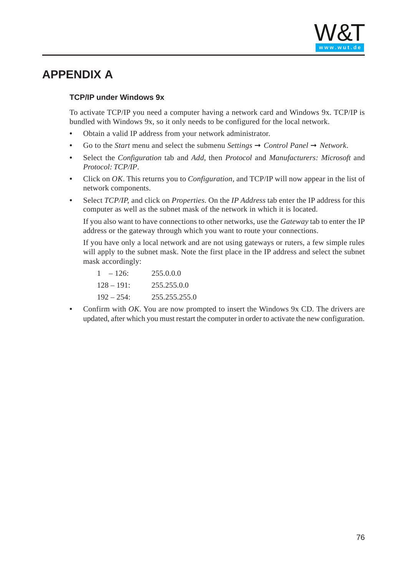

## **APPENDIX A**

#### **TCP/IP under Windows 9x**

To activate TCP/IP you need a computer having a network card and Windows 9x. TCP/IP is bundled with Windows 9x, so it only needs to be configured for the local network.

- **•** Obtain a valid IP address from your network administrator.
- Go to the *Start* menu and select the submenu *Settings*  $\rightarrow$  *Control Panel*  $\rightarrow$  *Network*.
- **•** Select the *Configuration* tab and *Add*, then *Protocol* and *Manufacturers: Microsoft* and *Protocol: TCP/IP*.
- **•** Click on *OK*. This returns you to *Configuration*, and TCP/IP will now appear in the list of network components.
- **•** Select *TCP/IP,* and click on *Properties*. On the *[IP Addres](http://www.wut.de)s* tab enter the IP address for this computer as well as the subnet mask of the network in which it is located.

If you also want to have connections to other networks, use the *Gateway* tab to enter the IP address or the gateway through which you want to route your connections.

If you have only a local network and are not using gateways or ruters, a few simple rules will apply to the subnet mask. Note the first place in the IP address and select the subnet mask accordingly:

| $1 - 126$     | 255.0.0.0        |
|---------------|------------------|
| $128 - 191$ : | 255.255.0.0      |
| $192 - 254$   | 255, 255, 255, 0 |

**•** Confirm with *OK*. You are now prompted to insert the Windows 9x CD. The drivers are updated, after which you must restart the computer in order to activate the new configuration.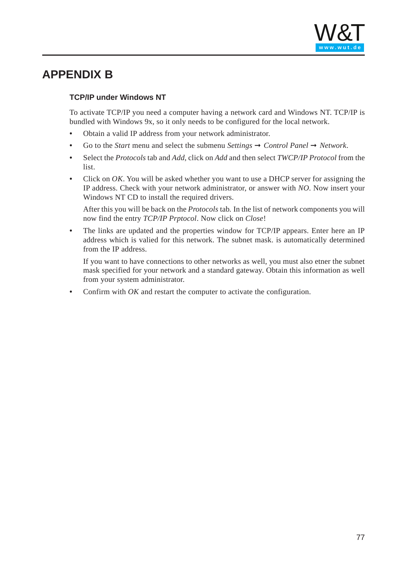

## **APPENDIX B**

#### **TCP/IP under Windows NT**

To activate TCP/IP you need a computer having a network card and Windows NT. TCP/IP is bundled with Windows 9x, so it only needs to be configured for the local network.

- **•** Obtain a valid IP address from your network administrator.
- Go to the *Start* menu and select the submenu *Settings*  $\rightarrow$  *Control Panel*  $\rightarrow$  *Network*.
- **•** Select the *Protocols* tab and *Add*, click on *Add* and then select *TWCP/IP Protocol* from the list.
- **•** Click on *OK*. You will be asked whether you want to use a DHCP server for assigning the IP address. Check with your network admi[nistrator, or an](http://www.wut.de)swer with *NO*. Now insert your Windows NT CD to install the required drivers.

After this you will be back on the *Protocols* tab*.* In the list of network components you will now find the entry *TCP/IP Prptocol*. Now click on *Close*!

• The links are updated and the properties window for TCP/IP appears. Enter here an IP address which is valied for this network. The subnet mask. is automatically determined from the IP address.

If you want to have connections to other networks as well, you must also etner the subnet mask specified for your network and a standard gateway. Obtain this information as well from your system administrator.

**•** Confirm with *OK* and restart the computer to activate the configuration.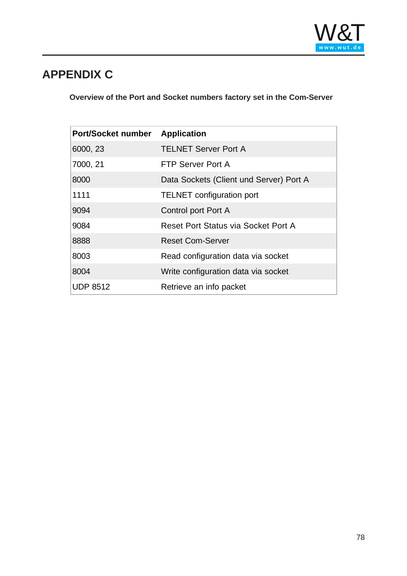

# **APPENDIX C**

**Overview of the Port and Socket numbers factory set in the Com-Server**

| <b>Port/Socket number Application</b> |                                         |
|---------------------------------------|-----------------------------------------|
| 6000, 23                              | <b>TELNET Server Port A</b>             |
| 7000, 21                              | FTP Server Port A                       |
| 8000                                  | Data Sockets (Client und Server) Port A |
| 1111                                  | <b>TELNET</b> configuration port        |
| 9094                                  | Control port Port A                     |
| 9084                                  | Reset Port Status via Socket Port A     |
| 8888                                  | <b>Reset Com-Server</b>                 |
| 8003                                  | Read configuration data via socket      |
| 8004                                  | Write configuration data via socket     |
| <b>UDP 8512</b>                       | Retrieve an info packet                 |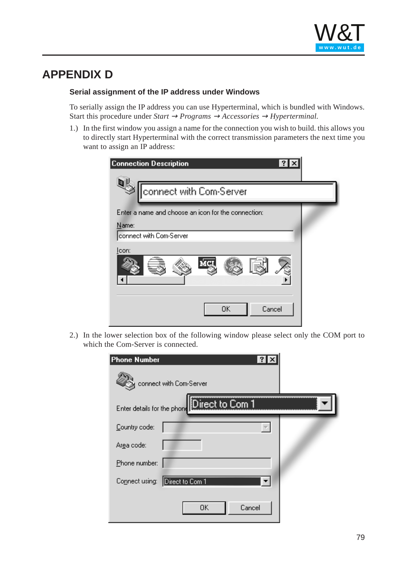

## <span id="page-78-0"></span>**APPENDIX D**

#### **Serial assignment of the IP address under Windows**

To serially assign the IP address you can use Hyperterminal, which is bundled with Windows. Start this procedure under *Start*  $\rightarrow$  *Programs*  $\rightarrow$  *Accessories*  $\rightarrow$  *Hyperterminal.* 

1.) In the first window you assign a name for the connection you wish to build. this allows you to directly start Hyperterminal with the correct transmission parameters the next time you want to assign an IP address:

| <b>Connection Description</b><br>3                  |  |
|-----------------------------------------------------|--|
| connect with Com-Server                             |  |
| Enter a name and choose an icon for the connection: |  |
| Name:<br>connect with Com-Server                    |  |
| <u>l</u> con:                                       |  |
| 0K<br>Cancel                                        |  |

2.) In the lower selection box of the following window please select only the COM port to which the Com-Server is connected.

| <b>Phone Number</b>                            |  |
|------------------------------------------------|--|
| connect with Com-Server                        |  |
| Direct to Com 1<br>Enter details for the phone |  |
| Country code:                                  |  |
| Arga code:                                     |  |
| Phone number:                                  |  |
| Direct to Com 1<br>Connect using:              |  |
| 0K<br>Cancel                                   |  |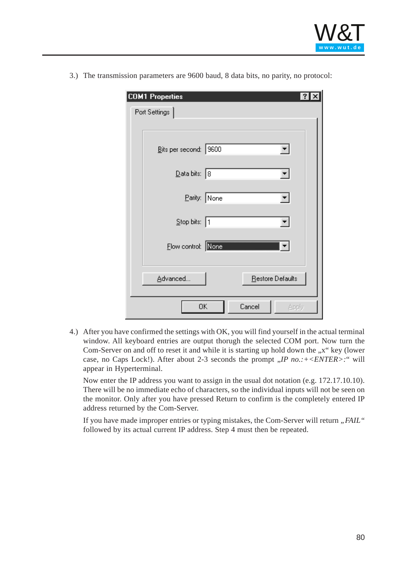

3.) The transmission parameters are 9600 baud, 8 data bits, no parity, no protocol:

| <b>COM1 Properties</b>       |
|------------------------------|
| Port Settings                |
|                              |
| Bits per second: 9600        |
| Data bits: 8                 |
| Parity: None                 |
| Stop bits: 1                 |
| Flow control: None           |
| Restore Defaults<br>Advanced |
| Cancel<br>ΟK<br>Apply        |

4.) After you have confirmed the settings with OK, you will find yourself in the actual terminal window. All keyboard entries are output thorugh the selected COM port. Now turn the Com-Server on and off to reset it and while it is starting up hold down the "x" key (lower case, no Caps Lock!). After about 2-3 seconds the prompt *, IP no.:+<ENTER>*: "will appear in Hyperterminal.

Now enter the IP address you want to assign in the usual dot notation (e.g. 172.17.10.10). There will be no immediate echo of characters, so the individual inputs will not be seen on the monitor. Only after you have pressed Return to confirm is the completely entered IP address returned by the Com-Server.

If you have made improper entries or typing mistakes, the Com-Server will return "FAIL" followed by its actual current IP address. Step 4 must then be repeated.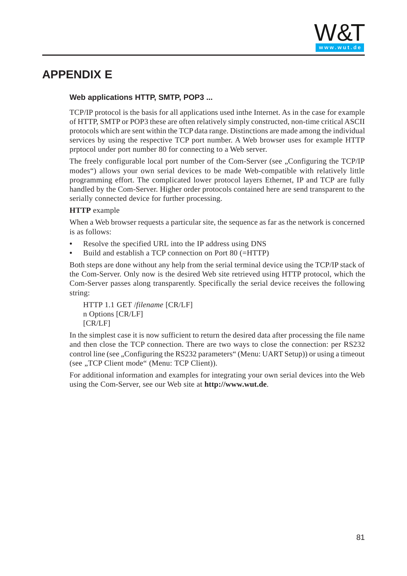

## <span id="page-80-0"></span>**APPENDIX E**

#### **Web applications HTTP, SMTP, POP3 ...**

TCP/IP protocol is the basis for all applications used inthe Internet. As in the case for example of HTTP, SMTP or POP3 these are often relatively simply constructed, non-time critical ASCII protocols which are sent within the TCP data range. Distinctions are made among the individual services by using the respective TCP port number. A Web browser uses for example HTTP prptocol under port number 80 for connecting to a Web server.

The freely configurable local port number of the Com-Server (see ...Configuring the TCP/IP modes") allows your own serial devices to be made Web-compatible with relatively little programming effort. The complicated lower protocol layers Ethernet, IP and TCP are fully handled by the Com-Server. Higher order proto[cols contained](http://www.wut.de) here are send transparent to the serially connected device for further processing.

#### **HTTP** example

When a Web browser requests a particular site, the sequence as far as the network is concerned is as follows:

- **•** Resolve the specified URL into the IP address using DNS
- **•** Build and establish a TCP connection on Port 80 (=HTTP)

Both steps are done without any help from the serial terminal device using the TCP/IP stack of the Com-Server. Only now is the desired Web site retrieved using HTTP protocol, which the Com-Server passes along transparently. Specifically the serial device receives the following string:

HTTP 1.1 GET /*filename* [CR/LF] n Options [CR/LF] [CR/LF]

In the simplest case it is now sufficient to return the desired data after processing the file name and then close the TCP connection. There are two ways to close the connection: per RS232 control line (see , Configuring the RS232 parameters" (Menu: UART Setup)) or using a timeout (see .,TCP Client mode" (Menu: TCP Client)).

For additional information and examples for integrating your own serial devices into the Web using the Com-Server, see our Web site at **http://www.wut.de**.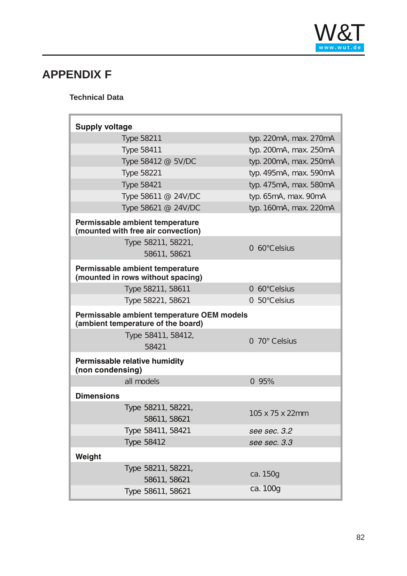

# **APPENDIX F**

Ì.

**Technical Data**

| <b>Supply voltage</b>                                                            |                          |
|----------------------------------------------------------------------------------|--------------------------|
| <b>Type 58211</b>                                                                | typ. 220mA, max. 270mA   |
| <b>Type 58411</b>                                                                | typ. 200mA, max. 250mA   |
| Type 58412 @ 5V/DC                                                               | typ. 200mA, max. 250mA   |
| <b>Type 58221</b>                                                                | typ. 495mA, max. 590mA   |
| <b>Type 58421</b>                                                                | typ. 475mA, max. 580mA   |
| Type 58611 @ 24V/DC                                                              | typ. 65mA, max. 90mA     |
| Type 58621 @ 24V/DC                                                              | typ. 160mA, max. 220mA   |
| Permissable ambient temperature<br>(mounted with free air convection)            |                          |
| Type 58211, 58221,<br>58611, 58621                                               | $0 - 60^{\circ}$ Celsius |
| Permissable ambient temperature<br>(mounted in rows without spacing)             |                          |
| Type 58211, 58611                                                                | 0-60°Celsius             |
| Type 58221, 58621                                                                | 0-50°Celsius             |
| Permissable ambient temperature OEM models<br>(ambient temperature of the board) |                          |
|                                                                                  |                          |
| Type 58411, 58412,                                                               |                          |
| 58421                                                                            | 0-70° Celsius            |
| Permissable relative humidity<br>(non condensing)                                |                          |
| all models                                                                       | $0 - 95%$                |
| <b>Dimensions</b>                                                                |                          |
| Type 58211, 58221,                                                               |                          |
| 58611, 58621                                                                     | 105 x 75 x 22mm          |
| Type 58411, 58421                                                                | see sec. 3.2             |
| <b>Type 58412</b>                                                                | see sec. 3.3             |
| Weight                                                                           |                          |
| Type 58211, 58221,<br>58611, 58621                                               | ca. 150g                 |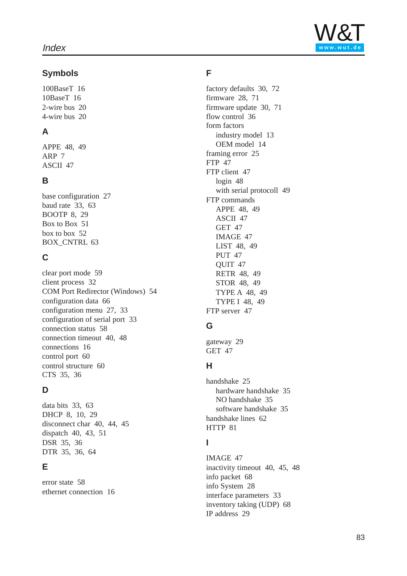

100BaseT 16 10BaseT 16 2-wire bus 20 4-wire bus 20

## **A**

APPE 48, 49 ARP 7 ASCII 47

#### **B**

base configuration 27 baud rate 33, 63 BOOTP 8, 29 Box to Box 51 [box to](#page-15-0) box 52 [BOX\\_](#page-19-0)CNTRL 63

## **[C](#page-19-0)**

[cle](#page-47-0)[ar p](#page-48-0)ort mode 59 [c](#page-6-0)[lie](#page-46-0)nt process 32 COM Port Redirector (Windows) [54](#page-46-0) configuration data 66 [configuratio](#page-26-0)n menu 27, 33 [con](#page-7-0)[figu](#page-28-0)ration of serial port 33 [connec](#page-50-0)tion status 58 [connectio](#page-62-0)n timeout 40, 48 connections 16 control port 60 [control](#page-31-0) [str](#page-58-0)ucture 60 [CTS 35, 36](#page-53-0)

#### **[D](#page-26-0)**

[data bits 33,](#page-39-0) [63](#page-47-0) [DHCP](#page-15-0) 8, 10, 29 [disconnect](#page-59-0) char 40, 44, 45 [di](#page-34-0)[spa](#page-35-0)tch 40, 43, 51 DSR 35, 36 [DTR](#page-32-0) [35](#page-62-0), 36, 64

## **[E](#page-39-0)**

[er](#page-34-0)[ror](#page-35-0) [sta](#page-42-0)[te](#page-50-0) 58 [et](#page-34-0)[her](#page-35-0)[net](#page-63-0) connection 16

#### **F**

factory defaults 30, 72 firmware 28, 71 firmware update 30, 71 flow control 36 form factors industry model 13 OEM model 14 framing error 25 FTP 47 FTP client 47 login 48 [with serial prot](http://www.wut.de)ocoll 49 FTP commands APPE 48, 49 ASCII 47 GET 47 IMAGE 47 LIST 48, 49 PUT 47 QUIT 47 RETR 48, 49 STOR 48, 49 TYPE A 48, 49 TYPE I 48, 49 FTP server 47

#### **G**

gateway 29 GET 47

## **H**

handshake 25 hardware handshake 35 NO handshake 35 software handshake 35 handshake lines 62 HTTP 81

## **I**

IMAGE 47 inactivity timeout 40, 45, 48 info packet 68 info System 28 interface parameters 33 [inv](#page-47-0)entory taking (UDP) 68 IP address 29